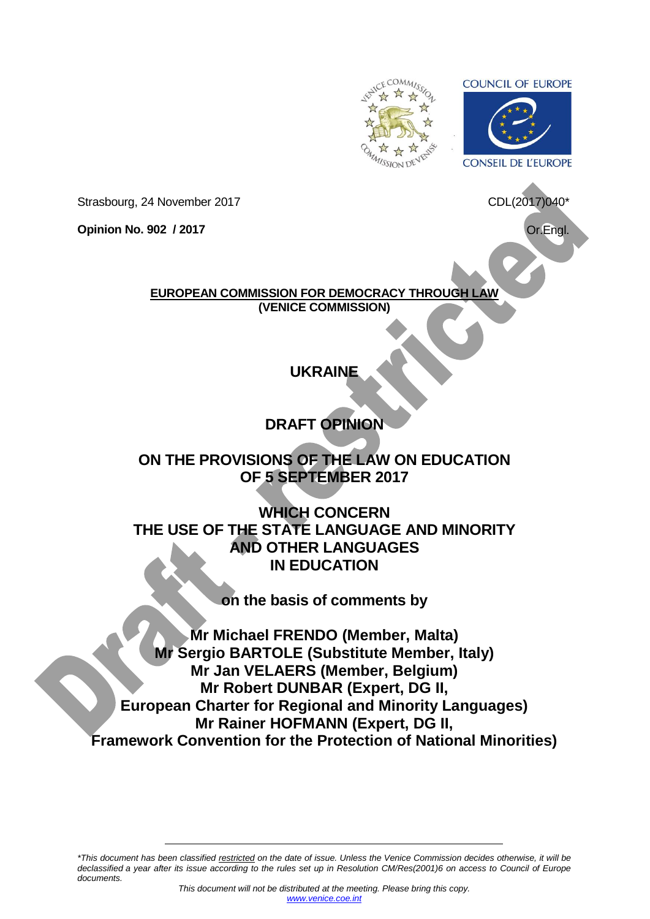<span id="page-0-0"></span>

**COUNCIL OF EUROPE** 



CDL(2017)040\*

Strasbourg, 24 November 2017

**Opinion No. 902 / 2017**

Or.Engl.

**EUROPEAN COMMISSION FOR DEMOCRACY THROUGH LAW (VENICE COMMISSION)**

# **UKRAINE**

# **DRAFT OPINION**

# **ON THE PROVISIONS OF THE LAW ON EDUCATION OF 5 SEPTEMBER 2017**

**WHICH CONCERN THE USE OF THE STATE LANGUAGE AND MINORITY AND OTHER LANGUAGES IN EDUCATION**

**on the basis of comments by**

**Mr Michael FRENDO (Member, Malta) Mr Sergio BARTOLE (Substitute Member, Italy) Mr Jan VELAERS (Member, Belgium) Mr Robert DUNBAR (Expert, DG II, European Charter for Regional and Minority Languages) Mr Rainer HOFMANN (Expert, DG II, Framework Convention for the Protection of National Minorities)**

*\*This document has been classified restricted on the date of issue. Unless the Venice Commission decides otherwise, it will be declassified a year after its issue according to the rules set up in Resolution CM/Res(2001)6 on access to Council of Europe documents.*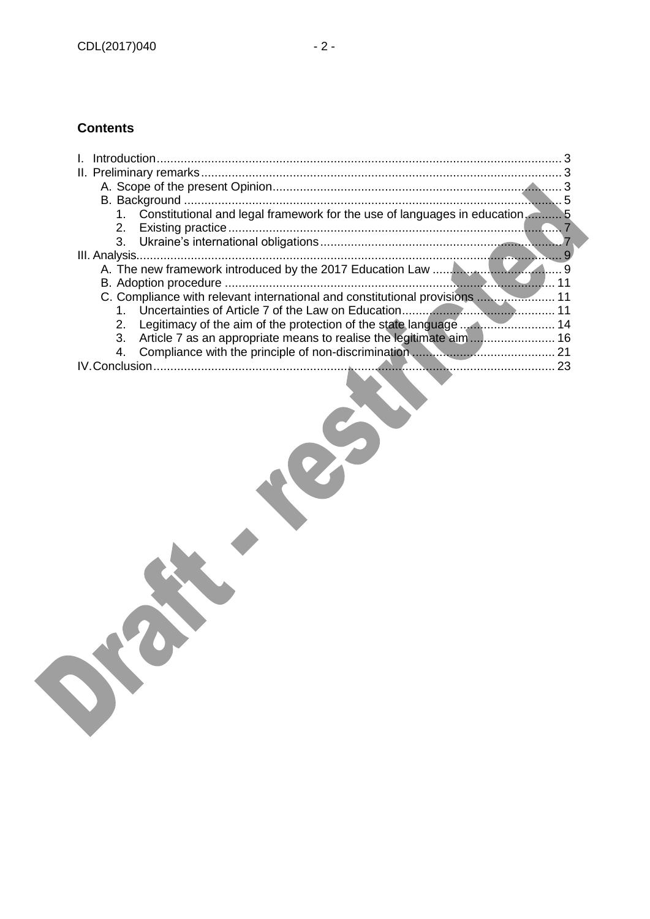# **Contents**

| Constitutional and legal framework for the use of languages in education 5<br>$1_{-}$ |  |
|---------------------------------------------------------------------------------------|--|
| 2 <sub>1</sub>                                                                        |  |
| 3.                                                                                    |  |
|                                                                                       |  |
|                                                                                       |  |
|                                                                                       |  |
| C. Compliance with relevant international and constitutional provisions  11           |  |
| 1.                                                                                    |  |
| 2 <sub>1</sub>                                                                        |  |
| Article 7 as an appropriate means to realise the legitimate aim  16<br>3.             |  |
| 4.                                                                                    |  |
|                                                                                       |  |
|                                                                                       |  |
|                                                                                       |  |
|                                                                                       |  |
|                                                                                       |  |
|                                                                                       |  |
|                                                                                       |  |
|                                                                                       |  |
|                                                                                       |  |
|                                                                                       |  |
|                                                                                       |  |
|                                                                                       |  |
|                                                                                       |  |
|                                                                                       |  |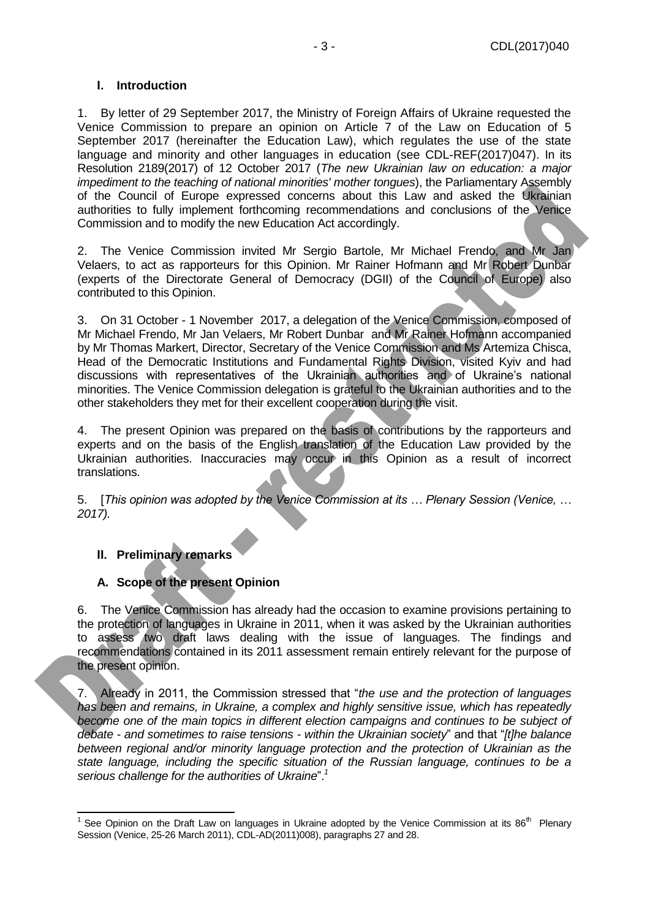### <span id="page-2-0"></span>**I. Introduction**

1. By letter of 29 September 2017, the Ministry of Foreign Affairs of Ukraine requested the Venice Commission to prepare an opinion on Article 7 of the Law on Education of 5 September 2017 (hereinafter the Education Law), which regulates the use of the state language and minority and other languages in education (see CDL-REF(2017)047). In its Resolution 2189(2017) of 12 October 2017 (*The new Ukrainian law on education: a major impediment to the teaching of national minorities' mother tongues*), the Parliamentary Assembly of the Council of Europe expressed concerns about this Law and asked the Ukrainian authorities to fully implement forthcoming recommendations and conclusions of the Venice Commission and to modify the new Education Act accordingly.

2. The Venice Commission invited Mr Sergio Bartole, Mr Michael Frendo, and Mr Jan Velaers, to act as rapporteurs for this Opinion. Mr Rainer Hofmann and Mr Robert Dunbar (experts of the Directorate General of Democracy (DGII) of the Council of Europe) also contributed to this Opinion.

3. On 31 October - 1 November 2017, a delegation of the Venice Commission, composed of Mr Michael Frendo, Mr Jan Velaers, Mr Robert Dunbar and Mr Rainer Hofmann accompanied by Mr Thomas Markert, Director, Secretary of the Venice Commission and Ms Artemiza Chisca, Head of the Democratic Institutions and Fundamental Rights Division, visited Kyiv and had discussions with representatives of the Ukrainian authorities and of Ukraine's national minorities. The Venice Commission delegation is grateful to the Ukrainian authorities and to the other stakeholders they met for their excellent cooperation during the visit.

4. The present Opinion was prepared on the basis of contributions by the rapporteurs and experts and on the basis of the English translation of the Education Law provided by the Ukrainian authorities. Inaccuracies may occur in this Opinion as a result of incorrect translations.

5. [*This opinion was adopted by the Venice Commission at its … Plenary Session (Venice, … 2017).*

#### <span id="page-2-1"></span>**II. Preliminary remarks**

#### <span id="page-2-2"></span>**A. Scope of the present Opinion**

6. The Venice Commission has already had the occasion to examine provisions pertaining to the protection of languages in Ukraine in 2011, when it was asked by the Ukrainian authorities to assess two draft laws dealing with the issue of languages. The findings and recommendations contained in its 2011 assessment remain entirely relevant for the purpose of the present opinion.

7. Already in 2011, the Commission stressed that "*the use and the protection of languages has been and remains, in Ukraine, a complex and highly sensitive issue, which has repeatedly*  become one of the main topics in different election campaigns and continues to be subject of *debate - and sometimes to raise tensions - within the Ukrainian society*" and that "*[t]he balance between regional and/or minority language protection and the protection of Ukrainian as the state language, including the specific situation of the Russian language, continues to be a serious challenge for the authorities of Ukraine*".*<sup>1</sup>*

<sup>&</sup>lt;sup>1</sup> See Opinion on the Draft Law on languages in Ukraine adopted by the Venice Commission at its 86<sup>th</sup> Plenary Session (Venice, 25-26 March 2011), CDL-AD(2011)008), paragraphs 27 and 28.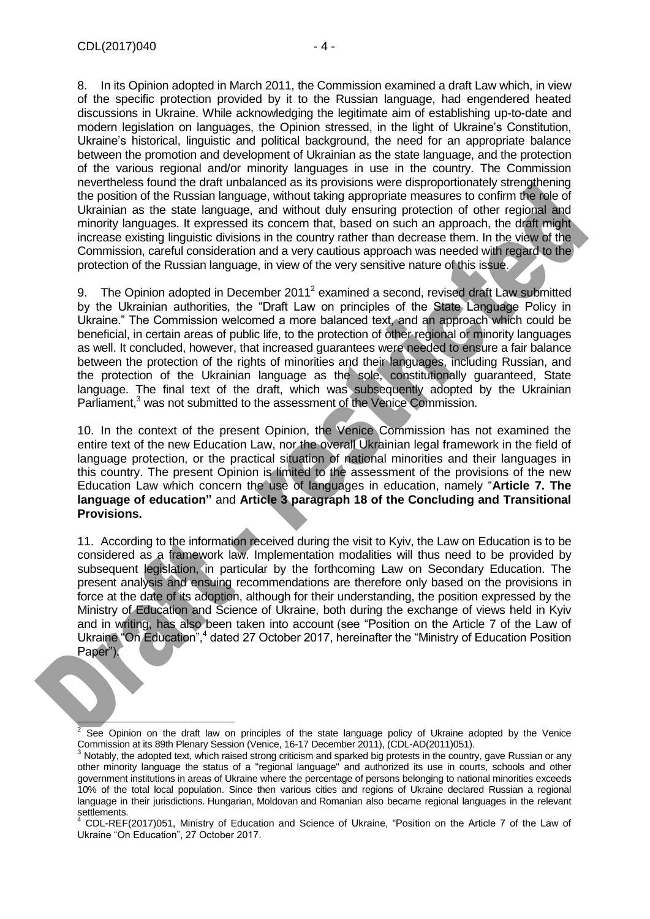discussions in Ukraine. While acknowledging the legitimate aim of establishing up-to-date and modern legislation on languages, the Opinion stressed, in the light of Ukraine's Constitution, Ukraine's historical, linguistic and political background, the need for an appropriate balance between the promotion and development of Ukrainian as the state language, and the protection of the various regional and/or minority languages in use in the country. The Commission nevertheless found the draft unbalanced as its provisions were disproportionately strengthening the position of the Russian language, without taking appropriate measures to confirm the role of Ukrainian as the state language, and without duly ensuring protection of other regional and minority languages. It expressed its concern that, based on such an approach, the draft might increase existing linguistic divisions in the country rather than decrease them. In the view of the Commission, careful consideration and a very cautious approach was needed with regard to the protection of the Russian language, in view of the very sensitive nature of this issue.

9. The Opinion adopted in December 2011<sup>2</sup> examined a second, revised draft Law submitted by the Ukrainian authorities, the "Draft Law on principles of the State Language Policy in Ukraine." The Commission welcomed a more balanced text, and an approach which could be beneficial, in certain areas of public life, to the protection of other regional or minority languages as well. It concluded, however, that increased guarantees were needed to ensure a fair balance between the protection of the rights of minorities and their languages, including Russian, and the protection of the Ukrainian language as the sole, constitutionally guaranteed, State language. The final text of the draft, which was subsequently adopted by the Ukrainian Parliament,<sup>3</sup> was not submitted to the assessment of the Venice Commission.

10. In the context of the present Opinion, the Venice Commission has not examined the entire text of the new Education Law, nor the overall Ukrainian legal framework in the field of language protection, or the practical situation of national minorities and their languages in this country. The present Opinion is limited to the assessment of the provisions of the new Education Law which concern the use of languages in education, namely "**Article 7. The language of education"** and **Article 3 paragraph 18 of the Concluding and Transitional Provisions.** 

11. According to the information received during the visit to Kyiv, the Law on Education is to be considered as a framework law. Implementation modalities will thus need to be provided by subsequent legislation, in particular by the forthcoming Law on Secondary Education. The present analysis and ensuing recommendations are therefore only based on the provisions in force at the date of its adoption, although for their understanding, the position expressed by the Ministry of Education and Science of Ukraine, both during the exchange of views held in Kyiv and in writing, has also been taken into account (see "Position on the Article 7 of the Law of Ukraine "On Education",<sup>4</sup> dated 27 October 2017, hereinafter the "Ministry of Education Position Paper").

 $\overline{2}$ See Opinion on the draft law on principles of the state language policy of Ukraine adopted by the Venice Commission at its 89th Plenary Session (Venice, 16-17 December 2011), (CDL-AD(2011)051).

 $3$  Notably, the adopted text, which raised strong criticism and sparked big protests in the country, gave Russian or any other minority language the status of a ["regional language"](https://en.wikipedia.org/wiki/Regional_language) and authorized its use in courts, schools and other government institutions in areas of Ukraine where the percentage of persons belonging to national minorities exceeds 10% of the total local population. Since then various cities and regions of Ukraine declared Russian a regional language in their jurisdictions. [Hungarian,](https://en.wikipedia.org/wiki/Hungarian_language) [Moldovan](https://en.wikipedia.org/wiki/Moldovan_language) and [Romanian](https://en.wikipedia.org/wiki/Romanian_language) also became regional languages in the relevant settlements.

<sup>&</sup>lt;sup>4</sup> CDL-REF(2017)051, Ministry of Education and Science of Ukraine, "Position on the Article 7 of the Law of Ukraine "On Education", 27 October 2017.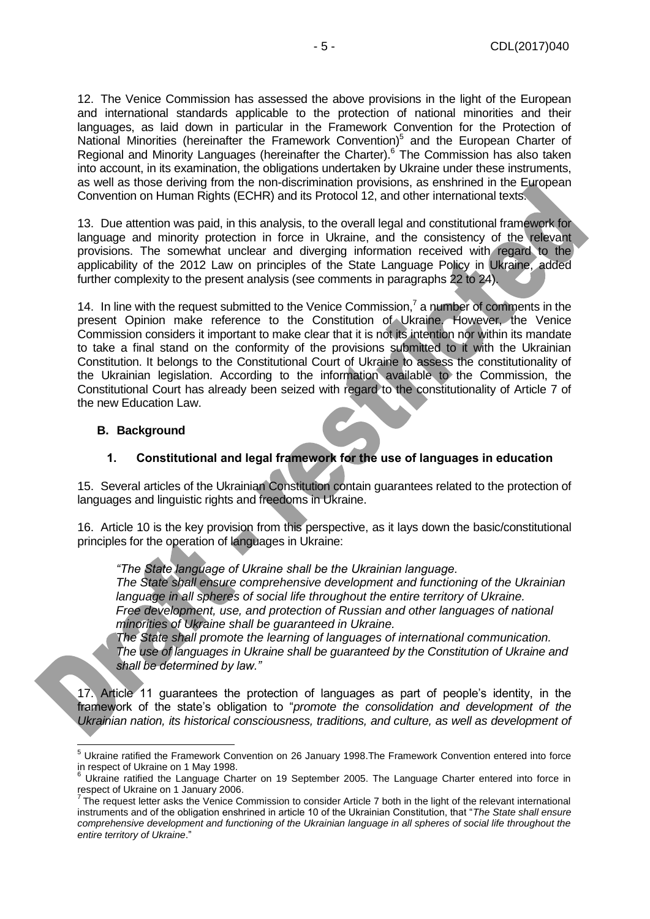12. The Venice Commission has assessed the above provisions in the light of the European and international standards applicable to the protection of national minorities and their languages, as laid down in particular in the Framework Convention for the Protection of National Minorities (hereinafter the Framework Convention)<sup>5</sup> and the European Charter of Regional and Minority Languages (hereinafter the Charter).<sup>6</sup> The Commission has also taken into account, in its examination, the obligations undertaken by Ukraine under these instruments, as well as those deriving from the non-discrimination provisions, as enshrined in the European Convention on Human Rights (ECHR) and its Protocol 12, and other international texts.

13. Due attention was paid, in this analysis, to the overall legal and constitutional framework for language and minority protection in force in Ukraine, and the consistency of the relevant provisions. The somewhat unclear and diverging information received with regard to the applicability of the 2012 Law on principles of the State Language Policy in Ukraine, added further complexity to the present analysis (see comments in paragraphs 22 to 24).

14. In line with the request submitted to the Venice Commission,<sup>7</sup> a number of comments in the present Opinion make reference to the Constitution of Ukraine. However, the Venice Commission considers it important to make clear that it is not its intention nor within its mandate to take a final stand on the conformity of the provisions submitted to it with the Ukrainian Constitution. It belongs to the Constitutional Court of Ukraine to assess the constitutionality of the Ukrainian legislation. According to the information available to the Commission, the Constitutional Court has already been seized with regard to the constitutionality of Article 7 of the new Education Law.

#### <span id="page-4-0"></span>**B. Background**

#### **1. Constitutional and legal framework for the use of languages in education**

<span id="page-4-1"></span>15. Several articles of the Ukrainian Constitution contain guarantees related to the protection of languages and linguistic rights and freedoms in Ukraine.

16. Article 10 is the key provision from this perspective, as it lays down the basic/constitutional principles for the operation of languages in Ukraine:

*"The State language of Ukraine shall be the Ukrainian language.*

*The State shall ensure comprehensive development and functioning of the Ukrainian language in all spheres of social life throughout the entire territory of Ukraine. Free development, use, and protection of Russian and other languages of national minorities of Ukraine shall be guaranteed in Ukraine.*

*The State shall promote the learning of languages of international communication. The use of languages in Ukraine shall be guaranteed by the Constitution of Ukraine and shall be determined by law."* 

17. Article 11 guarantees the protection of languages as part of people's identity, in the framework of the state's obligation to "*promote the consolidation and development of the Ukrainian nation, its historical consciousness, traditions, and culture, as well as development of* 

 $\overline{a}$ <sup>5</sup> Ukraine ratified the Framework Convention on 26 January 1998.The Framework Convention entered into force in respect of Ukraine on 1 May 1998.

Ukraine ratified the Language Charter on 19 September 2005. The Language Charter entered into force in

respect of Ukraine on 1 January 2006.<br><sup>7</sup> The request letter asks the Venice Commission to consider Article 7 both in the light of the relevant international instruments and of the obligation enshrined in article 10 of the Ukrainian Constitution, that "*The State shall ensure comprehensive development and functioning of the Ukrainian language in all spheres of social life throughout the entire territory of Ukraine*."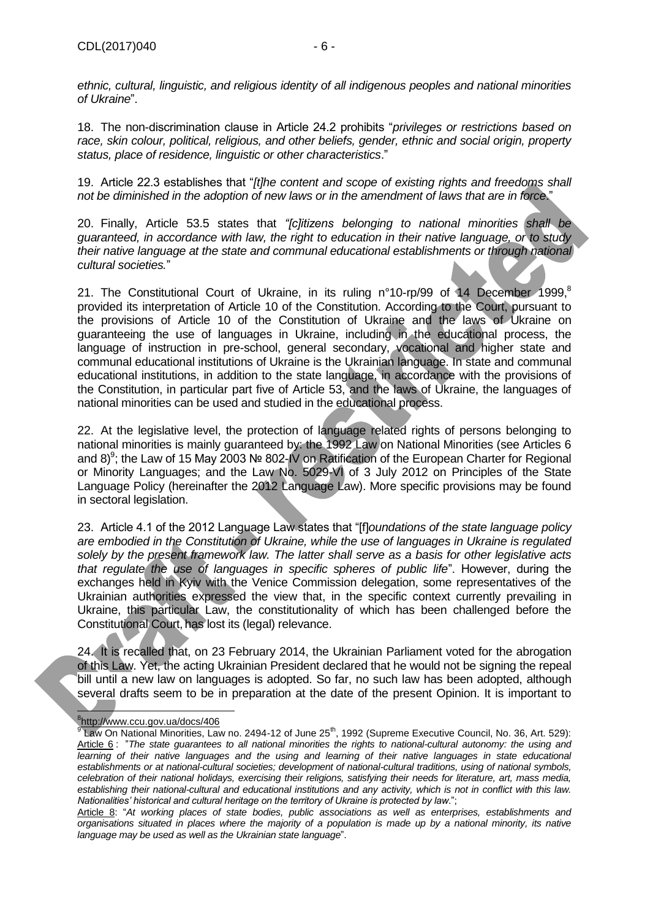*ethnic, cultural, linguistic, and religious identity of all indigenous peoples and national minorities of Ukraine*".

18. The non-discrimination clause in Article 24.2 prohibits "*privileges or restrictions based on race, skin colour, political, religious, and other beliefs, gender, ethnic and social origin, property status, place of residence, linguistic or other characteristics*."

19. Article 22.3 establishes that "*[t]he content and scope of existing rights and freedoms shall not be diminished in the adoption of new laws or in the amendment of laws that are in force*."

20. Finally, Article 53.5 states that *"[c]itizens belonging to national minorities shall be guaranteed, in accordance with law, the right to education in their native language, or to study their native language at the state and communal educational establishments or through national cultural societies.*"

21. The Constitutional Court of Ukraine, in its ruling n°10-rp/99 of 14 December 1999,<sup>8</sup> provided its interpretation of Article 10 of the Constitution. According to the Court, pursuant to the provisions of Article 10 of the Constitution of Ukraine and the laws of Ukraine on guaranteeing the use of languages in Ukraine, including in the educational process, the language of instruction in pre-school, general secondary, vocational and higher state and communal educational institutions of Ukraine is the Ukrainian language. In state and communal educational institutions, in addition to the state language, in accordance with the provisions of the Constitution, in particular part five of Article 53, and the laws of Ukraine, the languages of national minorities can be used and studied in the educational process.

22. At the legislative level, the protection of language related rights of persons belonging to national minorities is mainly guaranteed by: the 1992 Law on National Minorities (see Articles 6 and 8)<sup>9</sup>; the Law of 15 May 2003 № 802-IV on Ratification of the European Charter for Regional or Minority Languages; and the Law No. 5029-VI of 3 July 2012 on Principles of the State Language Policy (hereinafter the 2012 Language Law). More specific provisions may be found in sectoral legislation.

23. Article 4.1 of the 2012 Language Law states that "[f]*oundations of the state language policy are embodied in the Constitution of Ukraine, while the use of languages in Ukraine is regulated solely by the present framework law. The latter shall serve as a basis for other legislative acts that regulate the use of languages in specific spheres of public life*". However, during the exchanges held in Kyiv with the Venice Commission delegation, some representatives of the Ukrainian authorities expressed the view that, in the specific context currently prevailing in Ukraine, this particular Law, the constitutionality of which has been challenged before the Constitutional Court, has lost its (legal) relevance.

24. It is recalled that, on 23 February 2014, the Ukrainian Parliament voted for the abrogation of this Law. Yet, the acting Ukrainian President declared that he would not be signing the repeal bill until a new law on languages is adopted. So far, no such law has been adopted, although several drafts seem to be in preparation at the date of the present Opinion. It is important to

 8 <http://www.ccu.gov.ua/docs/406>

<sup>&</sup>lt;sup>9</sup> Law On National Minorities, Law no. 2494-12 of June 25<sup>th</sup>, 1992 (Supreme Executive Council, No. 36, Art. 529): Article 6 : "*The state guarantees to all national minorities the rights to national-cultural autonomy: the using and*  learning of their native languages and the using and learning of their native languages in state educational *establishments or at national-cultural societies; development of national-cultural traditions, using of national symbols, celebration of their national holidays, exercising their religions, satisfying their needs for literature, art, mass media, establishing their national-cultural and educational institutions and any activity, which is not in conflict with this law. Nationalities' historical and cultural heritage on the territory of Ukraine is protected by law*.";

Article 8: "*At working places of state bodies, public associations as well as enterprises, establishments and organisations situated in places where the majority of a population is made up by a national minority, its native language may be used as well as the Ukrainian state language*".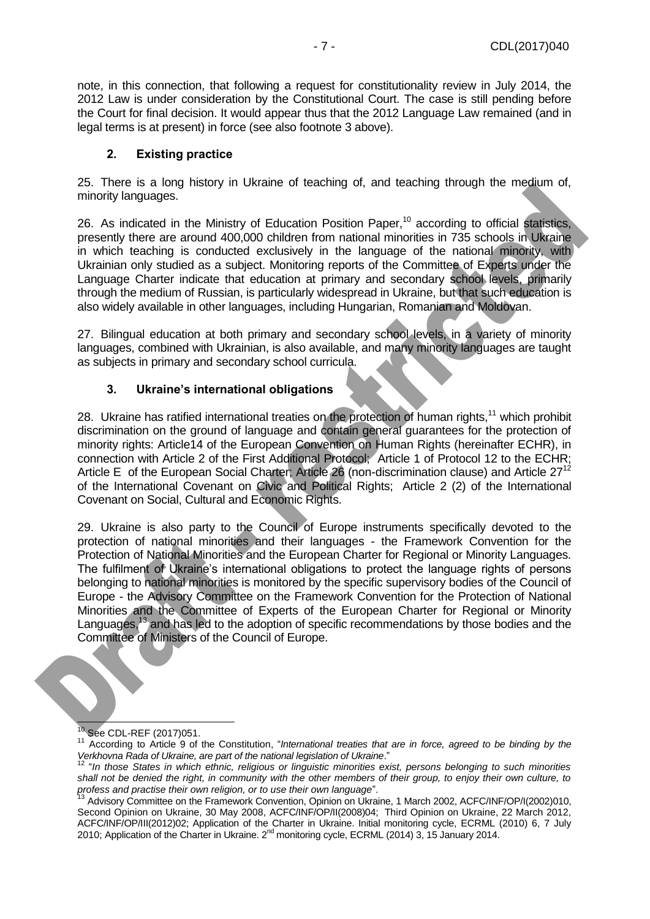note, in this connection, that following a request for constitutionality review in July 2014, the 2012 Law is under consideration by the Constitutional Court. The case is still pending before the Court for final decision. It would appear thus that the 2012 Language Law remained (and in legal terms is at present) in force (see also footnote 3 above).

#### **2. Existing practice**

<span id="page-6-0"></span>25. There is a long history in Ukraine of teaching of, and teaching through the medium of, minority languages.

26. As indicated in the Ministry of Education Position Paper.<sup>10</sup> according to official statistics, presently there are around 400,000 children from national minorities in 735 schools in Ukraine in which teaching is conducted exclusively in the language of the national minority, with Ukrainian only studied as a subject. Monitoring reports of the Committee of Experts under the Language Charter indicate that education at primary and secondary school levels, primarily through the medium of Russian, is particularly widespread in Ukraine, but that such education is also widely available in other languages, including Hungarian, Romanian and Moldovan.

27. Bilingual education at both primary and secondary school levels, in a variety of minority languages, combined with Ukrainian, is also available, and many minority languages are taught as subjects in primary and secondary school curricula.

#### **3. Ukraine's international obligations**

<span id="page-6-1"></span>28. Ukraine has ratified international treaties on the protection of human rights,<sup>11</sup> which prohibit discrimination on the ground of language and contain general guarantees for the protection of minority rights: Article14 of the European Convention on Human Rights (hereinafter ECHR), in connection with Article 2 of the First Additional Protocol; Article 1 of Protocol 12 to the ECHR; Article E of the European Social Charter; Article 26 (non-discrimination clause) and Article 27<sup>12</sup> of the International Covenant on Civic and Political Rights; Article 2 (2) of the International Covenant on Social, Cultural and Economic Rights.

29. Ukraine is also party to the Council of Europe instruments specifically devoted to the protection of national minorities and their languages - the Framework Convention for the Protection of National Minorities and the European Charter for Regional or Minority Languages. The fulfilment of Ukraine's international obligations to protect the language rights of persons belonging to national minorities is monitored by the specific supervisory bodies of the Council of Europe - the Advisory Committee on the Framework Convention for the Protection of National Minorities and the Committee of Experts of the European Charter for Regional or Minority Languages,<sup>13</sup> and has led to the adoption of specific recommendations by those bodies and the Committee of Ministers of the Council of Europe.

Į <sup>10</sup> See CDL-REF (2017)051.

<sup>&</sup>lt;sup>11</sup> According to Article 9 of the Constitution, "International treaties that are in force, agreed to be binding by the *Verkhovna Rada of Ukraine, are part of the national legislation of Ukraine*."

<sup>12</sup> "*In those States in which ethnic, religious or linguistic minorities exist, persons belonging to such minorities shall not be denied the right, in community with the other members of their group, to enjoy their own culture, to profess and practise their own religion, or to use their own language*".

<sup>&</sup>lt;sup>13</sup> Advisory Committee on the Framework Convention, Opinion on Ukraine, 1 March 2002, ACFC/INF/OP/I(2002)010, Second Opinion on Ukraine, 30 May 2008, ACFC/INF/OP/II(2008)04; Third Opinion on Ukraine, 22 March 2012, ACFC/INF/OP/III(2012)02; Application of the Charter in Ukraine. Initial monitoring cycle, ECRML (2010) 6, 7 July 2010; Application of the Charter in Ukraine. 2<sup>nd</sup> monitoring cycle, ECRML (2014) 3, 15 January 2014.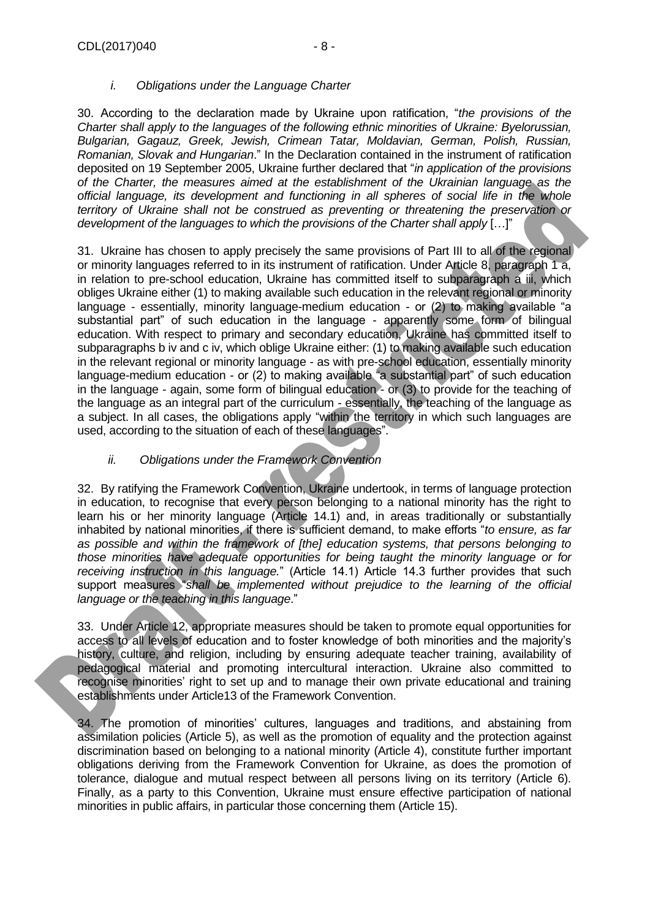#### *i. Obligations under the Language Charter*

30. According to the declaration made by Ukraine upon ratification, "*the provisions of the Charter shall apply to the languages of the following ethnic minorities of Ukraine: Byelorussian, Bulgarian, Gagauz, Greek, Jewish, Crimean Tatar, Moldavian, German, Polish, Russian, Romanian, Slovak and Hungarian*." In the Declaration contained in the instrument of ratification deposited on 19 September 2005, Ukraine further declared that "*in application of the provisions of the Charter, the measures aimed at the establishment of the Ukrainian language as the official language, its development and functioning in all spheres of social life in the whole territory of Ukraine shall not be construed as preventing or threatening the preservation or development of the languages to which the provisions of the Charter shall apply* […]"

31. Ukraine has chosen to apply precisely the same provisions of Part III to all of the regional or minority languages referred to in its instrument of ratification. Under Article 8, paragraph 1 a, in relation to pre-school education, Ukraine has committed itself to subparagraph a iii, which obliges Ukraine either (1) to making available such education in the relevant regional or minority language - essentially, minority language-medium education - or (2) to making available "a substantial part" of such education in the language - apparently some form of bilingual education. With respect to primary and secondary education, Ukraine has committed itself to subparagraphs b iv and c iv, which oblige Ukraine either: (1) to making available such education in the relevant regional or minority language - as with pre-school education, essentially minority language-medium education - or (2) to making available "a substantial part" of such education in the language - again, some form of bilingual education - or (3) to provide for the teaching of the language as an integral part of the curriculum - essentially, the teaching of the language as a subject. In all cases, the obligations apply "within the territory in which such languages are used, according to the situation of each of these languages".

### *ii. Obligations under the Framework Convention*

32. By ratifying the Framework Convention, Ukraine undertook, in terms of language protection in education, to recognise that every person belonging to a national minority has the right to learn his or her minority language (Article 14.1) and, in areas traditionally or substantially inhabited by national minorities, if there is sufficient demand, to make efforts "*to ensure, as far as possible and within the framework of [the] education systems, that persons belonging to those minorities have adequate opportunities for being taught the minority language or for receiving instruction in this language.*" (Article 14.1) Article 14.3 further provides that such support measures "*shall be implemented without prejudice to the learning of the official language or the teaching in this language*."

33. Under Article 12, appropriate measures should be taken to promote equal opportunities for access to all levels of education and to foster knowledge of both minorities and the majority's history, culture, and religion, including by ensuring adequate teacher training, availability of pedagogical material and promoting intercultural interaction. Ukraine also committed to recognise minorities' right to set up and to manage their own private educational and training establishments under Article13 of the Framework Convention.

34. The promotion of minorities' cultures, languages and traditions, and abstaining from assimilation policies (Article 5), as well as the promotion of equality and the protection against discrimination based on belonging to a national minority (Article 4), constitute further important obligations deriving from the Framework Convention for Ukraine, as does the promotion of tolerance, dialogue and mutual respect between all persons living on its territory (Article 6). Finally, as a party to this Convention, Ukraine must ensure effective participation of national minorities in public affairs, in particular those concerning them (Article 15).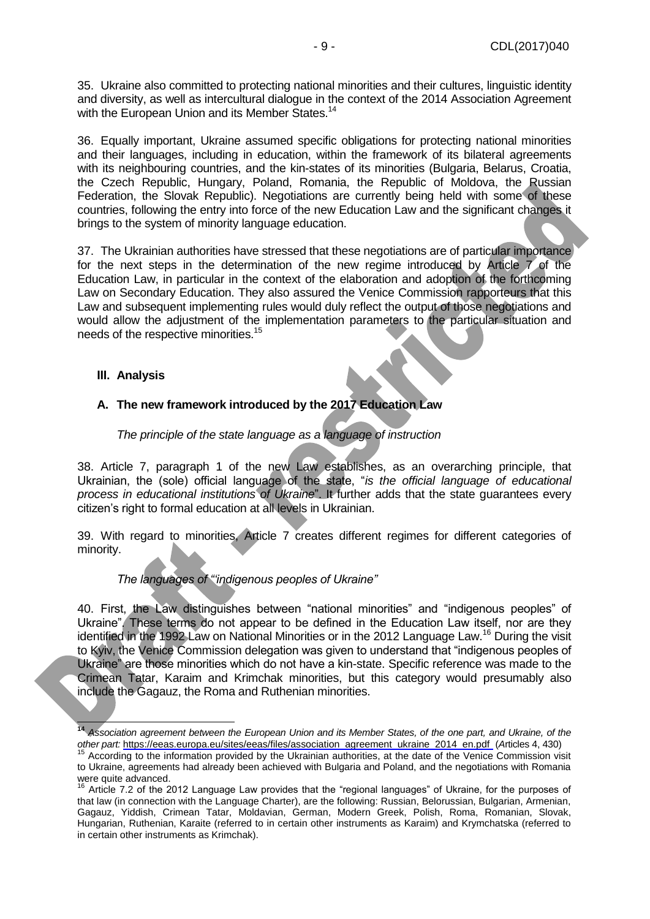35. Ukraine also committed to protecting national minorities and their cultures, linguistic identity and diversity, as well as intercultural dialogue in the context of the 2014 Association Agreement with the European Union and its Member States.<sup>14</sup>

36. Equally important, Ukraine assumed specific obligations for protecting national minorities and their languages, including in education, within the framework of its bilateral agreements with its neighbouring countries, and the kin-states of its minorities (Bulgaria, Belarus, Croatia, the Czech Republic, Hungary, Poland, Romania, the Republic of Moldova, the Russian Federation, the Slovak Republic). Negotiations are currently being held with some of these countries, following the entry into force of the new Education Law and the significant changes it brings to the system of minority language education.

37. The Ukrainian authorities have stressed that these negotiations are of particular importance for the next steps in the determination of the new regime introduced by Article 7 of the Education Law, in particular in the context of the elaboration and adoption of the forthcoming Law on Secondary Education. They also assured the Venice Commission rapporteurs that this Law and subsequent implementing rules would duly reflect the output of those negotiations and would allow the adjustment of the implementation parameters to the particular situation and needs of the respective minorities.<sup>15</sup>

#### <span id="page-8-0"></span>**III. Analysis**

#### <span id="page-8-1"></span>**A. The new framework introduced by the 2017 Education Law**

*The principle of the state language as a language of instruction*

38. Article 7, paragraph 1 of the new Law establishes, as an overarching principle, that Ukrainian, the (sole) official language of the state, "*is the official language of educational process in educational institutions of Ukraine*". It further adds that the state guarantees every citizen's right to formal education at all levels in Ukrainian.

39. With regard to minorities, Article 7 creates different regimes for different categories of minority.

#### *The languages of "'indigenous peoples of Ukraine"*

40. First, the Law distinguishes between "national minorities" and "indigenous peoples" of Ukraine". These terms do not appear to be defined in the Education Law itself, nor are they identified in the 1992 Law on National Minorities or in the 2012 Language Law.<sup>16</sup> During the visit to Kyiv, the Venice Commission delegation was given to understand that "indigenous peoples of Ukraine" are those minorities which do not have a kin-state. Specific reference was made to the Crimean Tatar, Karaim and Krimchak minorities, but this category would presumably also include the Gagauz, the Roma and Ruthenian minorities.

Į **<sup>14</sup>** *Association agreement between the European Union and its Member States, of the one part, and Ukraine, of the other part:* [https://eeas.europa.eu/sites/eeas/files/association\\_agreement\\_ukraine\\_2014\\_en.pdf](https://eeas.europa.eu/sites/eeas/files/association_agreement_ukraine_2014_en.pdf) (*A*rticles 4, 430)

<sup>&</sup>lt;sup>15</sup> According to the information provided by the Ukrainian authorities, at the date of the Venice Commission visit to Ukraine, agreements had already been achieved with Bulgaria and Poland, and the negotiations with Romania were quite advanced.

<sup>&</sup>lt;sup>16</sup> Article 7.2 of the 2012 Language Law provides that the "regional languages" of Ukraine, for the purposes of that law (in connection with the Language Charter), are the following: Russian, Belorussian, Bulgarian, Armenian, Gagauz, Yiddish, Crimean Tatar, Moldavian, German, Modern Greek, Polish, Roma, Romanian, Slovak, Hungarian, Ruthenian, Karaite (referred to in certain other instruments as Karaim) and Krymchatska (referred to in certain other instruments as Krimchak).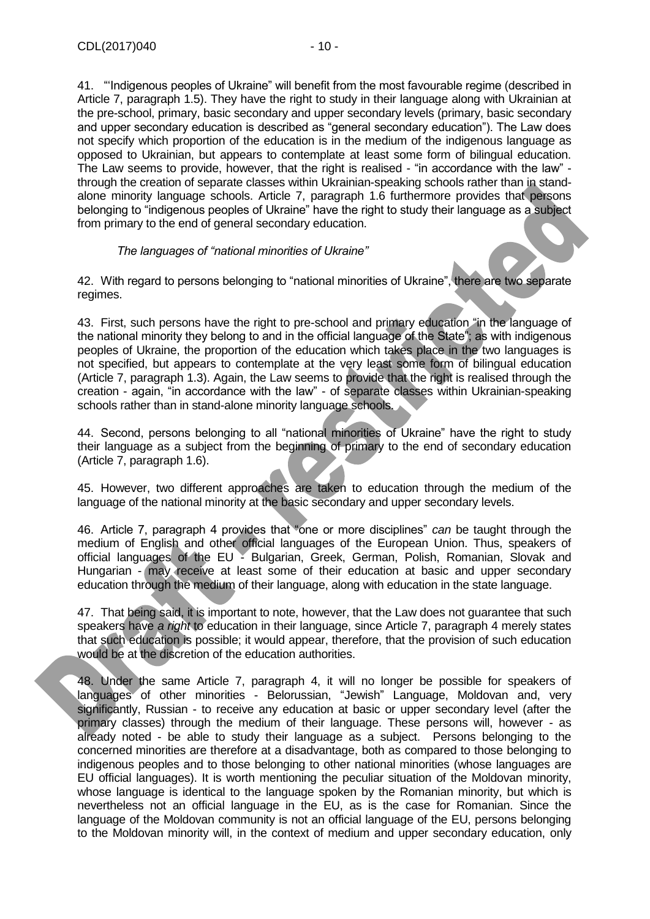41. "'Indigenous peoples of Ukraine" will benefit from the most favourable regime (described in Article 7, paragraph 1.5). They have the right to study in their language along with Ukrainian at the pre-school, primary, basic secondary and upper secondary levels (primary, basic secondary and upper secondary education is described as "general secondary education"). The Law does not specify which proportion of the education is in the medium of the indigenous language as opposed to Ukrainian, but appears to contemplate at least some form of bilingual education. The Law seems to provide, however, that the right is realised - "in accordance with the law" through the creation of separate classes within Ukrainian-speaking schools rather than in standalone minority language schools. Article 7, paragraph 1.6 furthermore provides that persons belonging to "indigenous peoples of Ukraine" have the right to study their language as a subject from primary to the end of general secondary education.

#### *The languages of "national minorities of Ukraine"*

42. With regard to persons belonging to "national minorities of Ukraine", there are two separate regimes.

43. First, such persons have the right to pre-school and primary education "in the language of the national minority they belong to and in the official language of the State"; as with indigenous peoples of Ukraine, the proportion of the education which takes place in the two languages is not specified, but appears to contemplate at the very least some form of bilingual education (Article 7, paragraph 1.3). Again, the Law seems to provide that the right is realised through the creation - again, "in accordance with the law" - of separate classes within Ukrainian-speaking schools rather than in stand-alone minority language schools.

44. Second, persons belonging to all "national minorities of Ukraine" have the right to study their language as a subject from the beginning of primary to the end of secondary education (Article 7, paragraph 1.6).

45. However, two different approaches are taken to education through the medium of the language of the national minority at the basic secondary and upper secondary levels.

46. Article 7, paragraph 4 provides that "one or more disciplines" *can* be taught through the medium of English and other official languages of the European Union. Thus, speakers of official languages of the EU - Bulgarian, Greek, German, Polish, Romanian, Slovak and Hungarian - may receive at least some of their education at basic and upper secondary education through the medium of their language, along with education in the state language.

47. That being said, it is important to note, however, that the Law does not guarantee that such speakers have *a right* to education in their language, since Article 7, paragraph 4 merely states that such education is possible; it would appear, therefore, that the provision of such education would be at the discretion of the education authorities.

48. Under the same Article 7, paragraph 4, it will no longer be possible for speakers of languages of other minorities - Belorussian, "Jewish" Language, Moldovan and, very significantly, Russian - to receive any education at basic or upper secondary level (after the primary classes) through the medium of their language. These persons will, however - as already noted - be able to study their language as a subject. Persons belonging to the concerned minorities are therefore at a disadvantage, both as compared to those belonging to indigenous peoples and to those belonging to other national minorities (whose languages are EU official languages). It is worth mentioning the peculiar situation of the Moldovan minority, whose language is identical to the language spoken by the Romanian minority, but which is nevertheless not an official language in the EU, as is the case for Romanian. Since the language of the Moldovan community is not an official language of the EU, persons belonging to the Moldovan minority will, in the context of medium and upper secondary education, only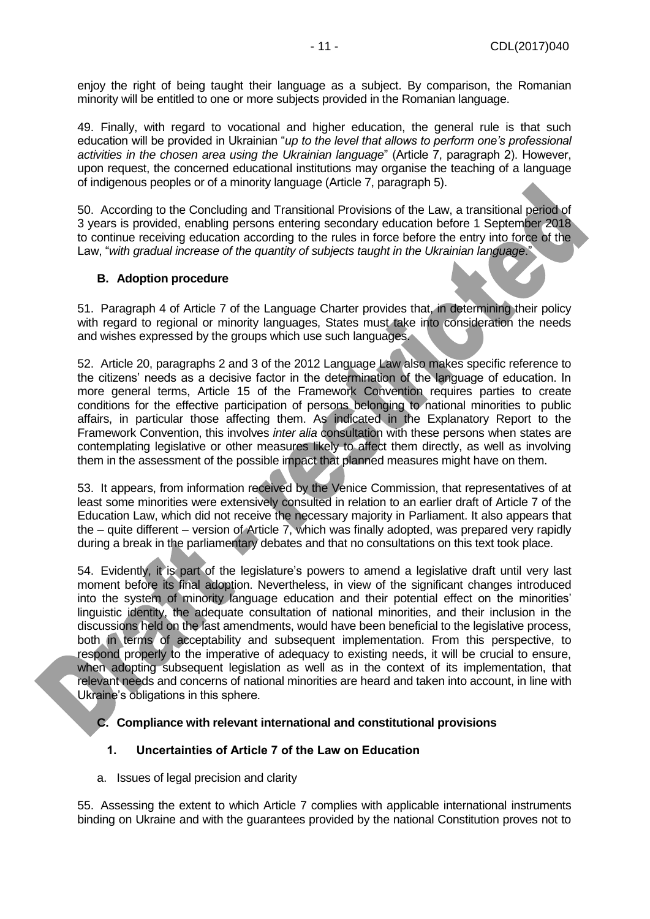enjoy the right of being taught their language as a subject. By comparison, the Romanian minority will be entitled to one or more subjects provided in the Romanian language.

49. Finally, with regard to vocational and higher education, the general rule is that such education will be provided in Ukrainian "*up to the level that allows to perform one's professional activities in the chosen area using the Ukrainian language*" (Article 7, paragraph 2). However, upon request, the concerned educational institutions may organise the teaching of a language of indigenous peoples or of a minority language (Article 7, paragraph 5).

50. According to the Concluding and Transitional Provisions of the Law, a transitional period of 3 years is provided, enabling persons entering secondary education before 1 September 2018 to continue receiving education according to the rules in force before the entry into force of the Law, "*with gradual increase of the quantity of subjects taught in the Ukrainian language*."

#### <span id="page-10-0"></span>**B. Adoption procedure**

51. Paragraph 4 of Article 7 of the Language Charter provides that, in determining their policy with regard to regional or minority languages, States must take into consideration the needs and wishes expressed by the groups which use such languages.

52. Article 20, paragraphs 2 and 3 of the 2012 Language Law also makes specific reference to the citizens' needs as a decisive factor in the determination of the language of education. In more general terms, Article 15 of the Framework Convention requires parties to create conditions for the effective participation of persons belonging to national minorities to public affairs, in particular those affecting them. As indicated in the Explanatory Report to the Framework Convention, this involves *inter alia* consultation with these persons when states are contemplating legislative or other measures likely to affect them directly, as well as involving them in the assessment of the possible impact that planned measures might have on them.

53. It appears, from information received by the Venice Commission, that representatives of at least some minorities were extensively consulted in relation to an earlier draft of Article 7 of the Education Law, which did not receive the necessary majority in Parliament. It also appears that the – quite different – version of Article 7, which was finally adopted, was prepared very rapidly during a break in the parliamentary debates and that no consultations on this text took place.

54. Evidently, it is part of the legislature's powers to amend a legislative draft until very last moment before its final adoption. Nevertheless, in view of the significant changes introduced into the system of minority language education and their potential effect on the minorities' linguistic identity, the adequate consultation of national minorities, and their inclusion in the discussions held on the last amendments, would have been beneficial to the legislative process, both in terms of acceptability and subsequent implementation. From this perspective, to respond properly to the imperative of adequacy to existing needs, it will be crucial to ensure, when adopting subsequent legislation as well as in the context of its implementation, that relevant needs and concerns of national minorities are heard and taken into account, in line with Ukraine's obligations in this sphere.

#### <span id="page-10-1"></span>**C. Compliance with relevant international and constitutional provisions**

#### <span id="page-10-2"></span>**1. Uncertainties of Article 7 of the Law on Education**

a. Issues of legal precision and clarity

55. Assessing the extent to which Article 7 complies with applicable international instruments binding on Ukraine and with the guarantees provided by the national Constitution proves not to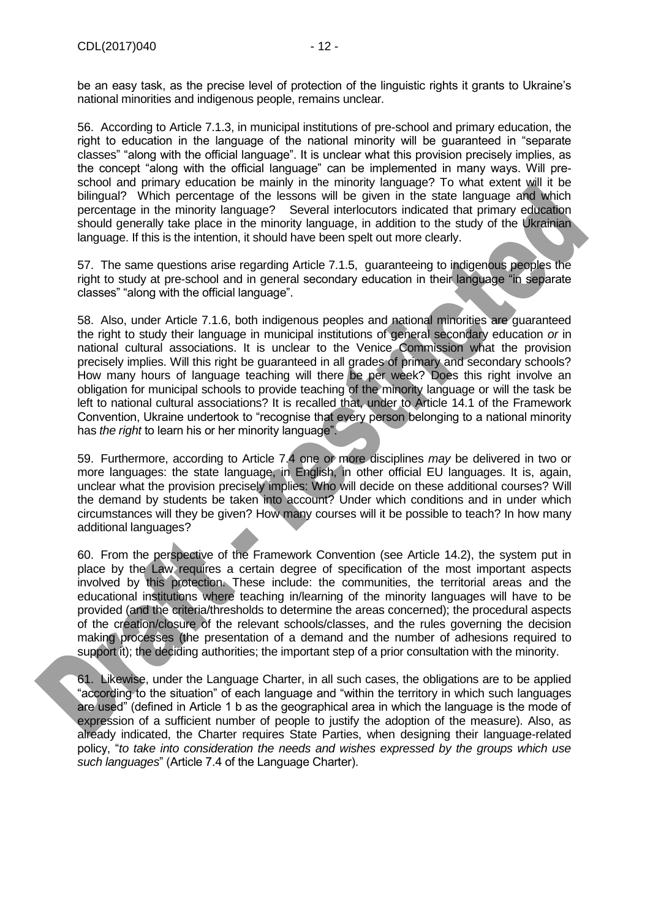be an easy task, as the precise level of protection of the linguistic rights it grants to Ukraine's national minorities and indigenous people, remains unclear.

56. According to Article 7.1.3, in municipal institutions of pre-school and primary education, the right to education in the language of the national minority will be guaranteed in "separate classes" "along with the official language". It is unclear what this provision precisely implies, as the concept "along with the official language" can be implemented in many ways. Will preschool and primary education be mainly in the minority language? To what extent will it be bilingual? Which percentage of the lessons will be given in the state language and which percentage in the minority language? Several interlocutors indicated that primary education should generally take place in the minority language, in addition to the study of the Ukrainian language. If this is the intention, it should have been spelt out more clearly.

57. The same questions arise regarding Article 7.1.5, guaranteeing to indigenous peoples the right to study at pre-school and in general secondary education in their language "in separate classes" "along with the official language".

58. Also, under Article 7.1.6, both indigenous peoples and national minorities are guaranteed the right to study their language in municipal institutions of general secondary education *or* in national cultural associations. It is unclear to the Venice Commission what the provision precisely implies. Will this right be guaranteed in all grades of primary and secondary schools? [How many hours of language teaching will there be per week? D](https://www.google.be/url?sa=t&rct=j&q=&esrc=s&source=web&cd=2&cad=rja&uact=8&ved=0ahUKEwj2iNP4wKXXAhUJoqQKHedGDF8QFgg1MAE&url=http%3A%2F%2Ftalk.collegeconfidential.com%2Fcollege-life%2F1380701-how-many-hours-of-college-classes-do-you-have-per-week.html&usg=AOvVaw3A4l44afqw36BtsVEVpLVc)oes this right involve an obligation for municipal schools to provide teaching of the minority language or will the task be left to national cultural associations? It is recalled that, under to Article 14.1 of the Framework Convention, Ukraine undertook to "recognise that every person belonging to a national minority has *the right* to learn his or her minority language".

59. Furthermore, according to Article 7.4 one or more disciplines *may* be delivered in two or more languages: the state language, in English, in other official EU languages. It is, again, unclear what the provision precisely implies: Who will decide on these additional courses? Will the demand by students be taken into account? Under which conditions and in under which circumstances will they be given? How many courses will it be possible to teach? In how many additional languages?

60. From the perspective of the Framework Convention (see Article 14.2), the system put in place by the Law requires a certain degree of specification of the most important aspects involved by this protection. These include: the communities, the territorial areas and the educational institutions where teaching in/learning of the minority languages will have to be provided (and the criteria/thresholds to determine the areas concerned); the procedural aspects of the creation/closure of the relevant schools/classes, and the rules governing the decision making processes (the presentation of a demand and the number of adhesions required to support it); the deciding authorities; the important step of a prior consultation with the minority.

61. Likewise, under the Language Charter, in all such cases, the obligations are to be applied "according to the situation" of each language and "within the territory in which such languages are used" (defined in Article 1 b as the geographical area in which the language is the mode of expression of a sufficient number of people to justify the adoption of the measure). Also, as already indicated, the Charter requires State Parties, when designing their language-related policy, "*to take into consideration the needs and wishes expressed by the groups which use such languages*" (Article 7.4 of the Language Charter).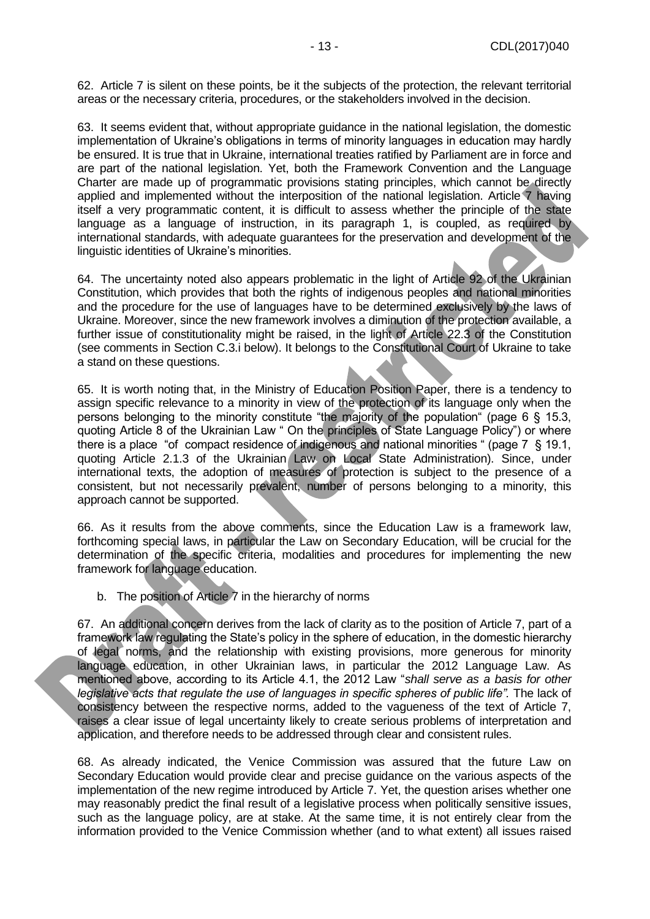62. Article 7 is silent on these points, be it the subjects of the protection, the relevant territorial areas or the necessary criteria, procedures, or the stakeholders involved in the decision.

63. It seems evident that, without appropriate guidance in the national legislation, the domestic implementation of Ukraine's obligations in terms of minority languages in education may hardly be ensured. It is true that in Ukraine, international treaties ratified by Parliament are in force and are part of the national legislation. Yet, both the Framework Convention and the Language Charter are made up of programmatic provisions stating principles, which cannot be directly applied and implemented without the interposition of the national legislation. Article 7 having itself a very programmatic content, it is difficult to assess whether the principle of the state language as a language of instruction, in its paragraph 1, is coupled, as required by international standards, with adequate guarantees for the preservation and development of the linguistic identities of Ukraine's minorities.

64. The uncertainty noted also appears problematic in the light of Article 92 of the Ukrainian Constitution, which provides that both the rights of indigenous peoples and national minorities and the procedure for the use of languages have to be determined exclusively by the laws of Ukraine. Moreover, since the new framework involves a diminution of the protection available, a further issue of constitutionality might be raised, in the light of Article 22.3 of the Constitution (see comments in Section C.3.i below). It belongs to the Constitutional Court of Ukraine to take a stand on these questions.

65. It is worth noting that, in the Ministry of Education Position Paper, there is a tendency to assign specific relevance to a minority in view of the protection of its language only when the persons belonging to the minority constitute "the majority of the population" (page 6 § 15.3, quoting Article 8 of the Ukrainian Law " On the principles of State Language Policy") or where there is a place "of compact residence of indigenous and national minorities " (page 7 § 19.1, quoting Article 2.1.3 of the Ukrainian Law on Local State Administration). Since, under international texts, the adoption of measures of protection is subject to the presence of a consistent, but not necessarily prevalent, number of persons belonging to a minority, this approach cannot be supported.

66. As it results from the above comments, since the Education Law is a framework law, forthcoming special laws, in particular the Law on Secondary Education, will be crucial for the determination of the specific criteria, modalities and procedures for implementing the new framework for language education.

b. The position of Article 7 in the hierarchy of norms

67. An additional concern derives from the lack of clarity as to the position of Article 7, part of a framework law regulating the State's policy in the sphere of education, in the domestic hierarchy of legal norms, and the relationship with existing provisions, more generous for minority language education, in other Ukrainian laws, in particular the 2012 Language Law. As mentioned above, according to its Article 4.1, the 2012 Law "*shall serve as a basis for other*  legislative acts that regulate the use of languages in specific spheres of public life". The lack of consistency between the respective norms, added to the vagueness of the text of Article 7, raises a clear issue of legal uncertainty likely to create serious problems of interpretation and application, and therefore needs to be addressed through clear and consistent rules.

68. As already indicated, the Venice Commission was assured that the future Law on Secondary Education would provide clear and precise guidance on the various aspects of the implementation of the new regime introduced by Article 7. Yet, the question arises whether one may reasonably predict the final result of a legislative process when politically sensitive issues, such as the language policy, are at stake. At the same time, it is not entirely clear from the information provided to the Venice Commission whether (and to what extent) all issues raised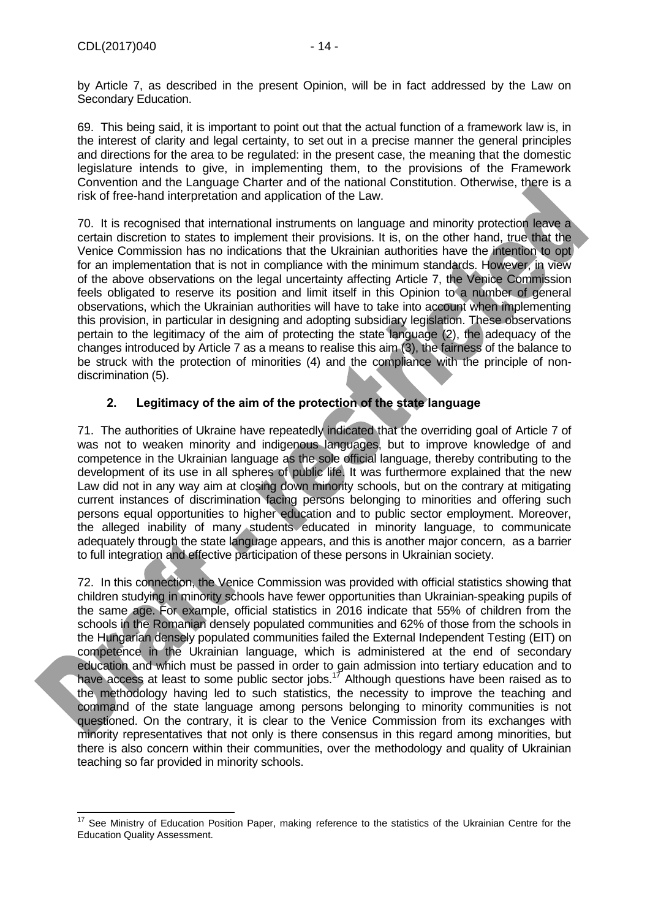by Article 7, as described in the present Opinion, will be in fact addressed by the Law on Secondary Education.

69. This being said, it is important to point out that the actual function of a framework law is, in the interest of clarity and legal certainty, to set out in a precise manner the general principles and directions for the area to be regulated: in the present case, the meaning that the domestic legislature intends to give, in implementing them, to the provisions of the Framework Convention and the Language Charter and of the national Constitution. Otherwise, there is a risk of free-hand interpretation and application of the Law.

70. It is recognised that international instruments on language and minority protection leave a certain discretion to states to implement their provisions. It is, on the other hand, true that the Venice Commission has no indications that the Ukrainian authorities have the intention to opt for an implementation that is not in compliance with the minimum standards. However, in view of the above observations on the legal uncertainty affecting Article 7, the Venice Commission feels obligated to reserve its position and limit itself in this Opinion to a number of general observations, which the Ukrainian authorities will have to take into account when implementing this provision, in particular in designing and adopting subsidiary legislation. These observations pertain to the legitimacy of the aim of protecting the state language (2), the adequacy of the changes introduced by Article 7 as a means to realise this aim (3), the fairness of the balance to be struck with the protection of minorities (4) and the compliance with the principle of nondiscrimination (5).

# **2. Legitimacy of the aim of the protection of the state language**

<span id="page-13-0"></span>71. The authorities of Ukraine have repeatedly indicated that the overriding goal of Article 7 of was not to weaken minority and indigenous languages, but to improve knowledge of and competence in the Ukrainian language as the sole official language, thereby contributing to the development of its use in all spheres of public life. It was furthermore explained that the new Law did not in any way aim at closing down minority schools, but on the contrary at mitigating current instances of discrimination facing persons belonging to minorities and offering such persons equal opportunities to higher education and to public sector employment. Moreover, the alleged inability of many students educated in minority language, to communicate adequately through the state language appears, and this is another major concern, as a barrier to full integration and effective participation of these persons in Ukrainian society.

72. In this connection, the Venice Commission was provided with official statistics showing that children studying in minority schools have fewer opportunities than Ukrainian-speaking pupils of the same age. For example, official statistics in 2016 indicate that 55% of children from the schools in the Romanian densely populated communities and 62% of those from the schools in the Hungarian densely populated communities failed the External Independent Testing (EIT) on competence in the Ukrainian language, which is administered at the end of secondary education and which must be passed in order to gain admission into tertiary education and to have access at least to some public sector jobs.<sup>17</sup> Although questions have been raised as to the methodology having led to such statistics, the necessity to improve the teaching and command of the state language among persons belonging to minority communities is not questioned. On the contrary, it is clear to the Venice Commission from its exchanges with minority representatives that not only is there consensus in this regard among minorities, but there is also concern within their communities, over the methodology and quality of Ukrainian teaching so far provided in minority schools.

  $17$  See Ministry of Education Position Paper, making reference to the statistics of the Ukrainian Centre for the Education Quality Assessment.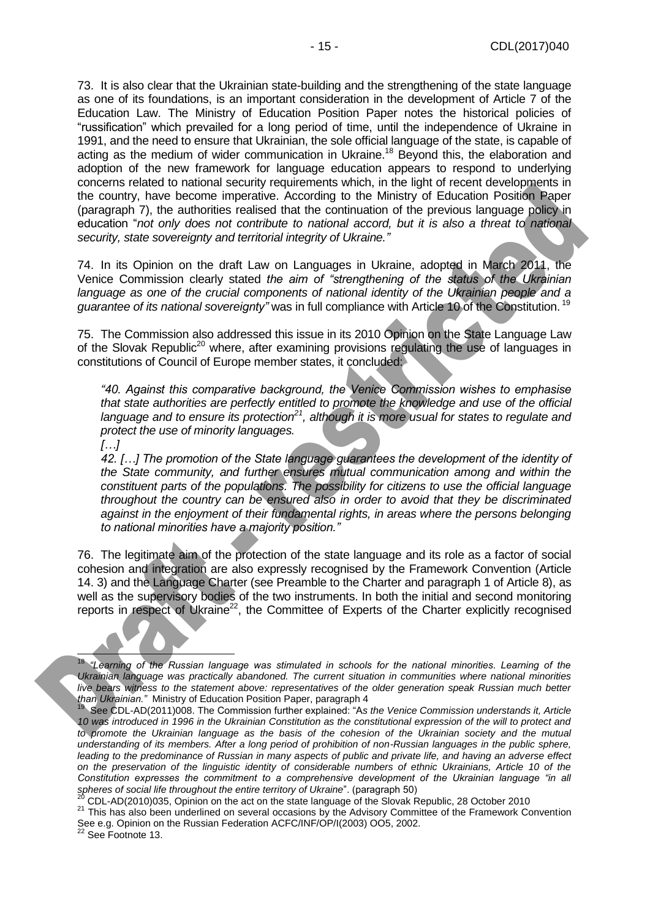73. It is also clear that the Ukrainian state-building and the strengthening of the state language as one of its foundations, is an important consideration in the development of Article 7 of the Education Law. The Ministry of Education Position Paper notes the historical policies of "russification" which prevailed for a long period of time, until the independence of Ukraine in 1991, and the need to ensure that Ukrainian, the sole official language of the state, is capable of acting as the medium of wider communication in Ukraine.<sup>18</sup> Beyond this, the elaboration and adoption of the new framework for language education appears to respond to underlying concerns related to national security requirements which, in the light of recent developments in the country, have become imperative. According to the Ministry of Education Position Paper (paragraph 7), the authorities realised that the continuation of the previous language policy in education "*not only does not contribute to national accord, but it is also a threat to national security, state sovereignty and territorial integrity of Ukraine."*

74. In its Opinion on the draft Law on Languages in Ukraine, adopted in March 2011, the Venice Commission clearly stated *the aim of "strengthening of the status of the Ukrainian*  language as one of the crucial components of national identity of the Ukrainian people and a *guarantee of its national sovereignty"* was in full compliance with Article 10 of the Constitution. <sup>19</sup>

75. The Commission also addressed this issue in its 2010 Opinion on the State Language Law of the Slovak Republic<sup>20</sup> where, after examining provisions regulating the use of languages in constitutions of Council of Europe member states, it concluded:

*"40. Against this comparative background, the Venice Commission wishes to emphasise that state authorities are perfectly entitled to promote the knowledge and use of the official language and to ensure its protection<sup>21</sup>, although it is more usual for states to regulate and protect the use of minority languages.* 

*[…]*

*42. […] The promotion of the State language guarantees the development of the identity of the State community, and further ensures mutual communication among and within the constituent parts of the populations. The possibility for citizens to use the official language throughout the country can be ensured also in order to avoid that they be discriminated against in the enjoyment of their fundamental rights, in areas where the persons belonging to national minorities have a majority position."* 

76. The legitimate aim of the protection of the state language and its role as a factor of social cohesion and integration are also expressly recognised by the Framework Convention (Article 14. 3) and the Language Charter (see Preamble to the Charter and paragraph 1 of Article 8), as well as the supervisory bodies of the two instruments. In both the initial and second monitoring reports in respect of Ukraine<sup>22</sup>, the Committee of Experts of the Charter explicitly recognised

į <sup>18</sup> *"Learning of the Russian language was stimulated in schools for the national minorities. Learning of the Ukrainian language was practically abandoned. The current situation in communities where national minorities live bears witness to the statement above: representatives of the older generation speak Russian much better than Ukrainian."* Ministry of Education Position Paper, paragraph 4 19

See CDL-AD(2011)008. The Commission further explained: "A*s the Venice Commission understands it, Article 10 was introduced in 1996 in the Ukrainian Constitution as the constitutional expression of the will to protect and*  to promote the Ukrainian language as the basis of the cohesion of the Ukrainian society and the mutual *understanding of its members. After a long period of prohibition of non-Russian languages in the public sphere, leading to the predominance of Russian in many aspects of public and private life, and having an adverse effect on the preservation of the linguistic identity of considerable numbers of ethnic Ukrainians, Article 10 of the Constitution expresses the commitment to a comprehensive development of the Ukrainian language "in all spheres of social life throughout the entire territory of Ukraine*". (paragraph 50)

<sup>20</sup> CDL-AD(2010)035, Opinion on the act on the state language of the Slovak Republic, 28 October 2010

<sup>21</sup> This has also been underlined on several occasions by the Advisory Committee of the Framework Convention See e.g. Opinion on the Russian Federation ACFC/INF/OP/I(2003) OO5, 2002.

See Footnote 13.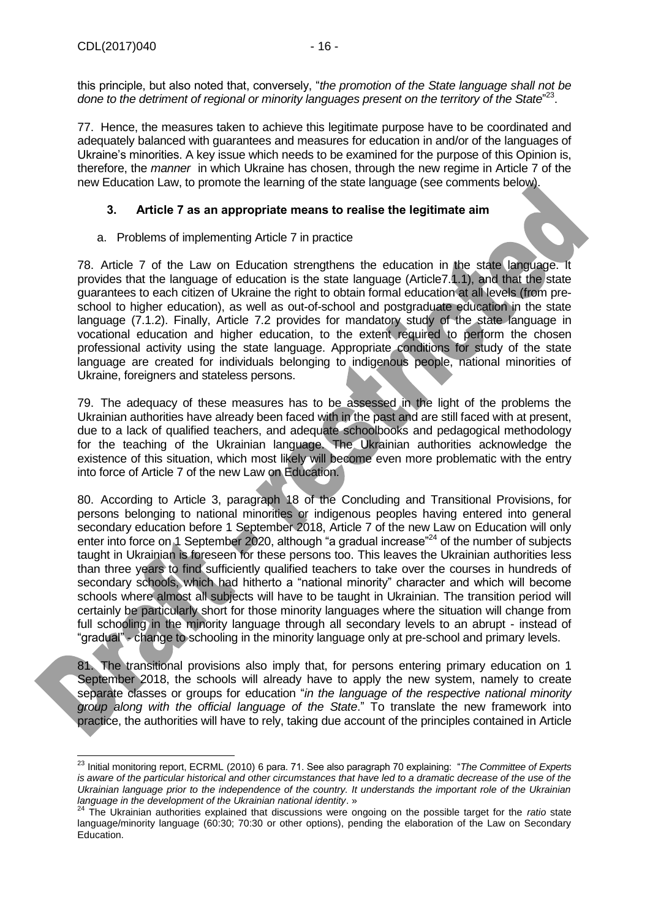this principle, but also noted that, conversely, "*the promotion of the State language shall not be*  done to the detriment of regional or minority languages present on the territory of the State<sup>"23</sup>.

77. Hence, the measures taken to achieve this legitimate purpose have to be coordinated and adequately balanced with guarantees and measures for education in and/or of the languages of Ukraine's minorities. A key issue which needs to be examined for the purpose of this Opinion is, therefore, the *manner* in which Ukraine has chosen, through the new regime in Article 7 of the new Education Law, to promote the learning of the state language (see comments below).

# <span id="page-15-0"></span>**3. Article 7 as an appropriate means to realise the legitimate aim**

a. Problems of implementing Article 7 in practice

78. Article 7 of the Law on Education strengthens the education in the state language. It provides that the language of education is the state language (Article7.1.1), and that the state guarantees to each citizen of Ukraine the right to obtain formal education at all levels (from preschool to higher education), as well as out-of-school and postgraduate education in the state language (7.1.2). Finally, Article 7.2 provides for mandatory study of the state language in vocational education and higher education, to the extent required to perform the chosen professional activity using the state language. Appropriate conditions for study of the state language are created for individuals belonging to indigenous people, national minorities of Ukraine, foreigners and stateless persons.

79. The adequacy of these measures has to be assessed in the light of the problems the Ukrainian authorities have already been faced with in the past and are still faced with at present, due to a lack of qualified teachers, and adequate schoolbooks and pedagogical methodology for the teaching of the Ukrainian language. The Ukrainian authorities acknowledge the existence of this situation, which most likely will become even more problematic with the entry into force of Article 7 of the new Law on Education.

80. According to Article 3, paragraph 18 of the Concluding and Transitional Provisions, for persons belonging to national minorities or indigenous peoples having entered into general secondary education before 1 September 2018, Article 7 of the new Law on Education will only enter into force on 1 September 2020, although "a gradual increase"<sup>24</sup> of the number of subjects taught in Ukrainian is foreseen for these persons too. This leaves the Ukrainian authorities less than three years to find sufficiently qualified teachers to take over the courses in hundreds of secondary schools, which had hitherto a "national minority" character and which will become schools where almost all subjects will have to be taught in Ukrainian. The transition period will certainly be particularly short for those minority languages where the situation will change from full schooling in the minority language through all secondary levels to an abrupt - instead of "gradual" - change to schooling in the minority language only at pre-school and primary levels.

81. The transitional provisions also imply that, for persons entering primary education on 1 September 2018, the schools will already have to apply the new system, namely to create separate classes or groups for education "*in the language of the respective national minority group along with the official language of the State*." To translate the new framework into practice, the authorities will have to rely, taking due account of the principles contained in Article

 $\overline{\phantom{a}}$ <sup>23</sup> Initial monitoring report, ECRML (2010) 6 para. 71. See also paragraph 70 explaining: "*The Committee of Experts*  is aware of the particular historical and other circumstances that have led to a dramatic decrease of the use of the *Ukrainian language prior to the independence of the country. It understands the important role of the Ukrainian language in the development of the Ukrainian national identity*. »

<sup>24</sup> The Ukrainian authorities explained that discussions were ongoing on the possible target for the *ratio* state language/minority language (60:30; 70:30 or other options), pending the elaboration of the Law on Secondary Education.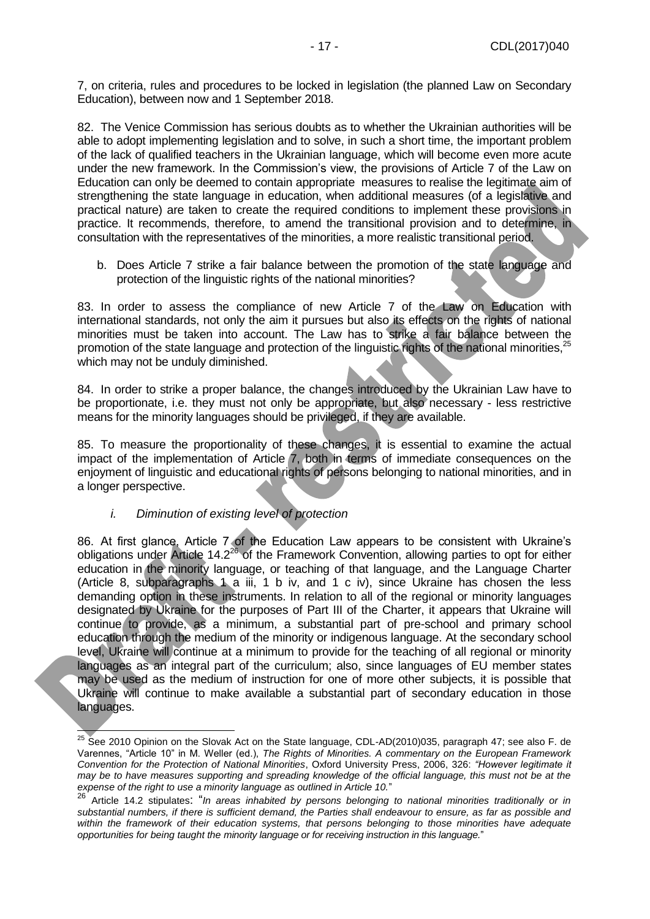7, on criteria, rules and procedures to be locked in legislation (the planned Law on Secondary Education), between now and 1 September 2018.

82. The Venice Commission has serious doubts as to whether the Ukrainian authorities will be able to adopt implementing legislation and to solve, in such a short time, the important problem of the lack of qualified teachers in the Ukrainian language, which will become even more acute under the new framework. In the Commission's view, the provisions of Article 7 of the Law on Education can only be deemed to contain appropriate measures to realise the legitimate aim of strengthening the state language in education, when additional measures (of a legislative and practical nature) are taken to create the required conditions to implement these provisions in practice. It recommends, therefore, to amend the transitional provision and to determine, in consultation with the representatives of the minorities, a more realistic transitional period.

b. Does Article 7 strike a fair balance between the promotion of the state language and protection of the linguistic rights of the national minorities?

83. In order to assess the compliance of new Article 7 of the Law on Education with international standards, not only the aim it pursues but also its effects on the rights of national minorities must be taken into account. The Law has to strike a fair balance between the promotion of the state language and protection of the linguistic rights of the national minorities,<sup>25</sup> which may not be unduly diminished.

84. In order to strike a proper balance, the changes introduced by the Ukrainian Law have to be proportionate, i.e. they must not only be appropriate, but also necessary - less restrictive means for the minority languages should be privileged, if they are available.

85. To measure the proportionality of these changes, it is essential to examine the actual impact of the implementation of Article 7, both in terms of immediate consequences on the enjoyment of linguistic and educational rights of persons belonging to national minorities, and in a longer perspective.

*i. Diminution of existing level of protection*

Ì

86. At first glance, Article 7 of the Education Law appears to be consistent with Ukraine's obligations under Article 14.2 $^{26}$  of the Framework Convention, allowing parties to opt for either education in the minority language, or teaching of that language, and the Language Charter (Article 8, subparagraphs 1 a iii, 1 b iv, and 1 c iv), since Ukraine has chosen the less demanding option in these instruments. In relation to all of the regional or minority languages designated by Ukraine for the purposes of Part III of the Charter, it appears that Ukraine will continue to provide, as a minimum, a substantial part of pre-school and primary school education through the medium of the minority or indigenous language. At the secondary school level, Ukraine will continue at a minimum to provide for the teaching of all regional or minority languages as an integral part of the curriculum; also, since languages of EU member states may be used as the medium of instruction for one of more other subjects, it is possible that Ukraine will continue to make available a substantial part of secondary education in those languages.

<sup>&</sup>lt;sup>25</sup> See 2010 Opinion on the Slovak Act on the State language, CDL-AD(2010)035, paragraph 47; see also F. de Varennes, "Article 10" in M. Weller (ed.), *The Rights of Minorities. A commentary on the European Framework Convention for the Protection of National Minorities*, Oxford University Press, 2006, 326: *"However legitimate it may be to have measures supporting and spreading knowledge of the official language, this must not be at the expense of the right to use a minority language as outlined in Article 10.*"

<sup>26</sup> Article 14.2 stipulates: "*In areas inhabited by persons belonging to national minorities traditionally or in substantial numbers, if there is sufficient demand, the Parties shall endeavour to ensure, as far as possible and within the framework of their education systems, that persons belonging to those minorities have adequate opportunities for being taught the minority language or for receiving instruction in this language.*"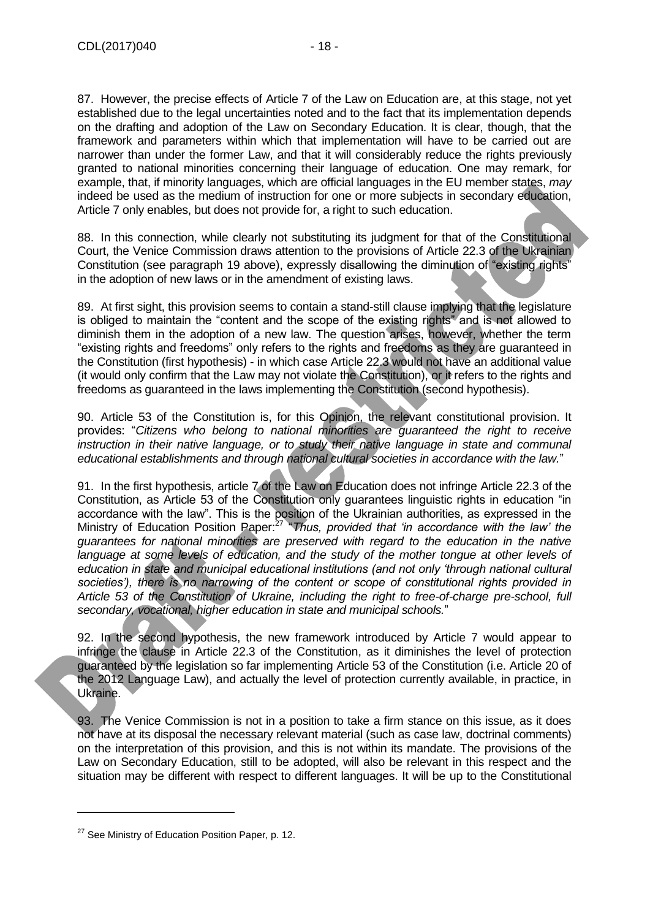87. However, the precise effects of Article 7 of the Law on Education are, at this stage, not yet established due to the legal uncertainties noted and to the fact that its implementation depends on the drafting and adoption of the Law on Secondary Education. It is clear, though, that the framework and parameters within which that implementation will have to be carried out are narrower than under the former Law, and that it will considerably reduce the rights previously granted to national minorities concerning their language of education. One may remark, for example, that, if minority languages, which are official languages in the EU member states, *may* indeed be used as the medium of instruction for one or more subjects in secondary education, Article 7 only enables, but does not provide for, a right to such education.

88. In this connection, while clearly not substituting its judgment for that of the Constitutional Court, the Venice Commission draws attention to the provisions of Article 22.3 of the Ukrainian Constitution (see paragraph 19 above), expressly disallowing the diminution of "existing rights" in the adoption of new laws or in the amendment of existing laws.

89. At first sight, this provision seems to contain a stand-still clause implying that the legislature is obliged to maintain the "content and the scope of the existing rights" and is not allowed to diminish them in the adoption of a new law. The question arises, however, whether the term "existing rights and freedoms" only refers to the rights and freedoms as they are guaranteed in the Constitution (first hypothesis) - in which case Article 22.3 would not have an additional value (it would only confirm that the Law may not violate the Constitution), or it refers to the rights and freedoms as guaranteed in the laws implementing the Constitution (second hypothesis).

90. Article 53 of the Constitution is, for this Opinion, the relevant constitutional provision. It provides: "*Citizens who belong to national minorities are guaranteed the right to receive instruction in their native language, or to study their native language in state and communal educational establishments and through national cultural societies in accordance with the law.*"

91. In the first hypothesis, article 7 of the Law on Education does not infringe Article 22.3 of the Constitution, as Article 53 of the Constitution only guarantees linguistic rights in education "in accordance with the law". This is the position of the Ukrainian authorities, as expressed in the Ministry of Education Position Paper:<sup>27</sup> "*Thus, provided that 'in accordance with the law' the guarantees for national minorities are preserved with regard to the education in the native language at some levels of education, and the study of the mother tongue at other levels of education in state and municipal educational institutions (and not only 'through national cultural societies'), there is no narrowing of the content or scope of constitutional rights provided in Article 53 of the Constitution of Ukraine, including the right to free-of-charge pre-school, full secondary, vocational, higher education in state and municipal schools.*"

92. In the second hypothesis, the new framework introduced by Article 7 would appear to infringe the clause in Article 22.3 of the Constitution, as it diminishes the level of protection guaranteed by the legislation so far implementing Article 53 of the Constitution (i.e. Article 20 of the 2012 Language Law), and actually the level of protection currently available, in practice, in Ukraine.

93. The Venice Commission is not in a position to take a firm stance on this issue, as it does not have at its disposal the necessary relevant material (such as case law, doctrinal comments) on the interpretation of this provision, and this is not within its mandate. The provisions of the Law on Secondary Education, still to be adopted, will also be relevant in this respect and the situation may be different with respect to different languages. It will be up to the Constitutional

<sup>&</sup>lt;sup>27</sup> See Ministry of Education Position Paper, p. 12.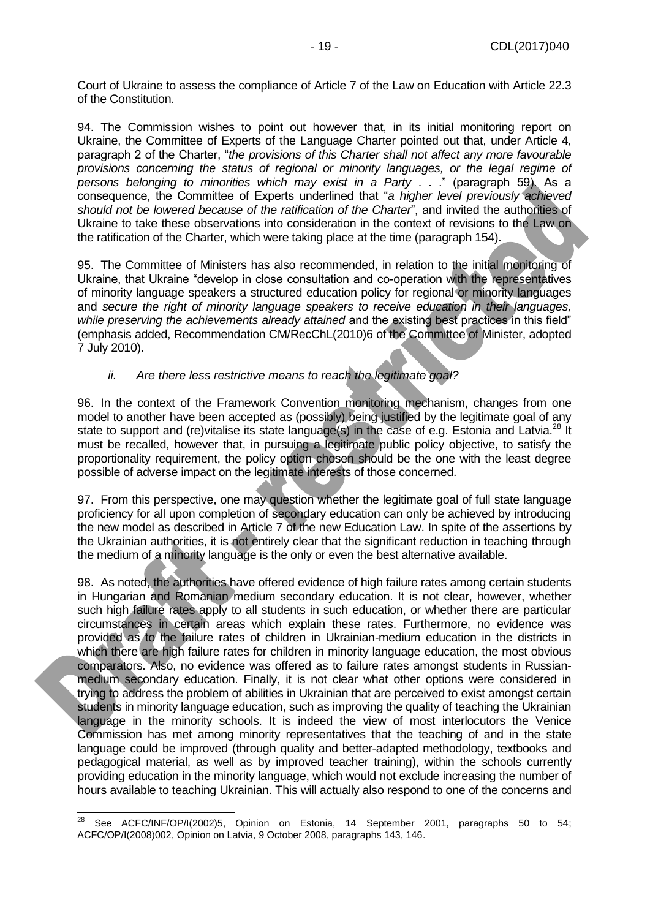Court of Ukraine to assess the compliance of Article 7 of the Law on Education with Article 22.3 of the Constitution.

94. The Commission wishes to point out however that, in its initial monitoring report on Ukraine, the Committee of Experts of the Language Charter pointed out that, under Article 4, paragraph 2 of the Charter, "*the provisions of this Charter shall not affect any more favourable provisions concerning the status of regional or minority languages, or the legal regime of persons belonging to minorities which may exist in a Party* . . ." (paragraph 59). As a consequence, the Committee of Experts underlined that "*a higher level previously achieved should not be lowered because of the ratification of the Charter*", and invited the authorities of Ukraine to take these observations into consideration in the context of revisions to the Law on the ratification of the Charter, which were taking place at the time (paragraph 154).

95. The Committee of Ministers has also recommended, in relation to the initial monitoring of Ukraine, that Ukraine "develop in close consultation and co-operation with the representatives of minority language speakers a structured education policy for regional or minority languages and *secure the right of minority language speakers to receive education in their languages, while preserving the achievements already attained* and the existing best practices in this field" (emphasis added, Recommendation CM/RecChL(2010)6 of the Committee of Minister, adopted 7 July 2010).

#### *ii. Are there less restrictive means to reach the legitimate goal?*

96. In the context of the Framework Convention monitoring mechanism, changes from one model to another have been accepted as (possibly) being justified by the legitimate goal of any state to support and (re)vitalise its state language(s) in the case of e.g. Estonia and Latvia.<sup>28</sup> It must be recalled, however that, in pursuing a legitimate public policy objective, to satisfy the proportionality requirement, the policy option chosen should be the one with the least degree possible of adverse impact on the legitimate interests of those concerned.

97. From this perspective, one may question whether the legitimate goal of full state language proficiency for all upon completion of secondary education can only be achieved by introducing the new model as described in Article 7 of the new Education Law. In spite of the assertions by the Ukrainian authorities, it is not entirely clear that the significant reduction in teaching through the medium of a minority language is the only or even the best alternative available.

98. As noted, the authorities have offered evidence of high failure rates among certain students in Hungarian and Romanian medium secondary education. It is not clear, however, whether such high failure rates apply to all students in such education, or whether there are particular circumstances in certain areas which explain these rates. Furthermore, no evidence was provided as to the failure rates of children in Ukrainian-medium education in the districts in which there are high failure rates for children in minority language education, the most obvious comparators. Also, no evidence was offered as to failure rates amongst students in Russianmedium secondary education. Finally, it is not clear what other options were considered in trying to address the problem of abilities in Ukrainian that are perceived to exist amongst certain students in minority language education, such as improving the quality of teaching the Ukrainian language in the minority schools. It is indeed the view of most interlocutors the Venice Commission has met among minority representatives that the teaching of and in the state language could be improved (through quality and better-adapted methodology, textbooks and pedagogical material, as well as by improved teacher training), within the schools currently providing education in the minority language, which would not exclude increasing the number of hours available to teaching Ukrainian. This will actually also respond to one of the concerns and

See ACFC/INF/OP/I(2002)5, Opinion on Estonia, 14 September 2001, paragraphs 50 to 54; ACFC/OP/I(2008)002, Opinion on Latvia, 9 October 2008, paragraphs 143, 146.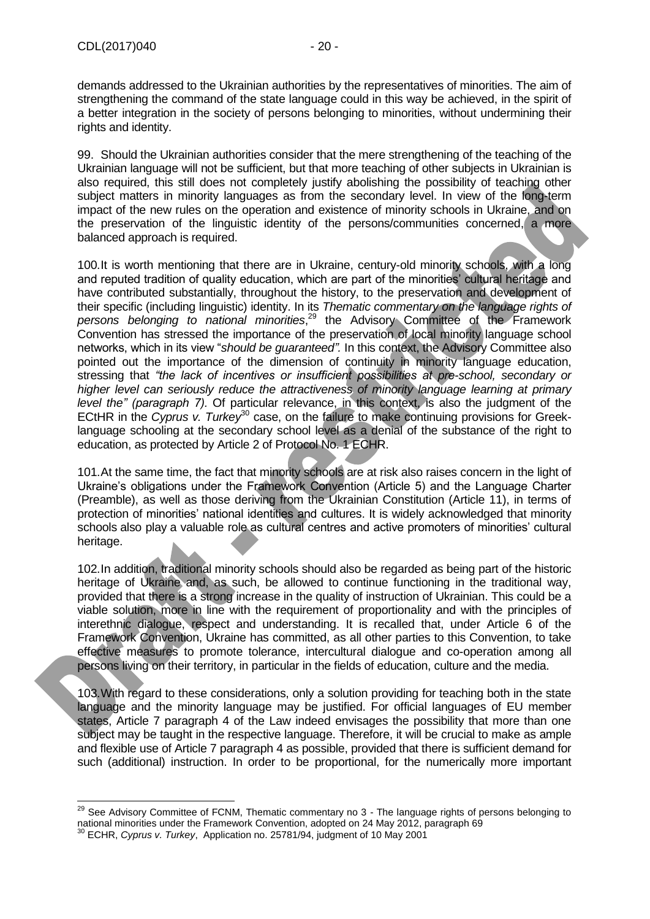demands addressed to the Ukrainian authorities by the representatives of minorities. The aim of strengthening the command of the state language could in this way be achieved, in the spirit of a better integration in the society of persons belonging to minorities, without undermining their rights and identity.

99. Should the Ukrainian authorities consider that the mere strengthening of the teaching of the Ukrainian language will not be sufficient, but that more teaching of other subjects in Ukrainian is also required, this still does not completely justify abolishing the possibility of teaching other subject matters in minority languages as from the secondary level. In view of the long-term impact of the new rules on the operation and existence of minority schools in Ukraine, and on the preservation of the linguistic identity of the persons/communities concerned, a more balanced approach is required.

100.It is worth mentioning that there are in Ukraine, century-old minority schools, with a long and reputed tradition of quality education, which are part of the minorities' cultural heritage and have contributed substantially, throughout the history, to the preservation and development of their specific (including linguistic) identity. In its *Thematic commentary on the language rights of*  persons belonging to national minorities,<sup>29</sup> the Advisory Committee of the Framework Convention has stressed the importance of the preservation of local minority language school networks, which in its view "*should be guaranteed".* In this context, the Advisory Committee also pointed out the importance of the dimension of continuity in minority language education, stressing that *"the lack of incentives or insufficient possibilities at pre-school, secondary or higher level can seriously reduce the attractiveness of minority language learning at primary level the" (paragraph 7).* Of particular relevance, in this context, is also the judgment of the ECtHR in the *Cyprus v. Turkey*<sup>30</sup> case, on the failure to make continuing provisions for Greeklanguage schooling at the secondary school level as a denial of the substance of the right to education, as protected by Article 2 of Protocol No. 1 ECHR.

101.At the same time, the fact that minority schools are at risk also raises concern in the light of Ukraine's obligations under the Framework Convention (Article 5) and the Language Charter (Preamble), as well as those deriving from the Ukrainian Constitution (Article 11), in terms of protection of minorities' national identities and cultures. It is widely acknowledged that minority schools also play a valuable role as cultural centres and active promoters of minorities' cultural heritage.

102.In addition, traditional minority schools should also be regarded as being part of the historic heritage of Ukraine and, as such, be allowed to continue functioning in the traditional way, provided that there is a strong increase in the quality of instruction of Ukrainian. This could be a viable solution, more in line with the requirement of proportionality and with the principles of interethnic dialogue, respect and understanding. It is recalled that, under Article 6 of the Framework Convention, Ukraine has committed, as all other parties to this Convention, to take effective measures to promote tolerance, intercultural dialogue and co-operation among all persons living on their territory, in particular in the fields of education, culture and the media.

103.With regard to these considerations, only a solution providing for teaching both in the state language and the minority language may be justified. For official languages of EU member states, Article 7 paragraph 4 of the Law indeed envisages the possibility that more than one subject may be taught in the respective language. Therefore, it will be crucial to make as ample and flexible use of Article 7 paragraph 4 as possible, provided that there is sufficient demand for such (additional) instruction. In order to be proportional, for the numerically more important

<sup>&</sup>lt;sup>29</sup> See Advisory Committee of FCNM, Thematic commentary no 3 - The language rights of persons belonging to national minorities under the Framework Convention, adopted on 24 May 2012, paragraph 69

<sup>30</sup> ECHR, *Cyprus v. Turkey*, Application no. 25781/94, judgment of 10 May 2001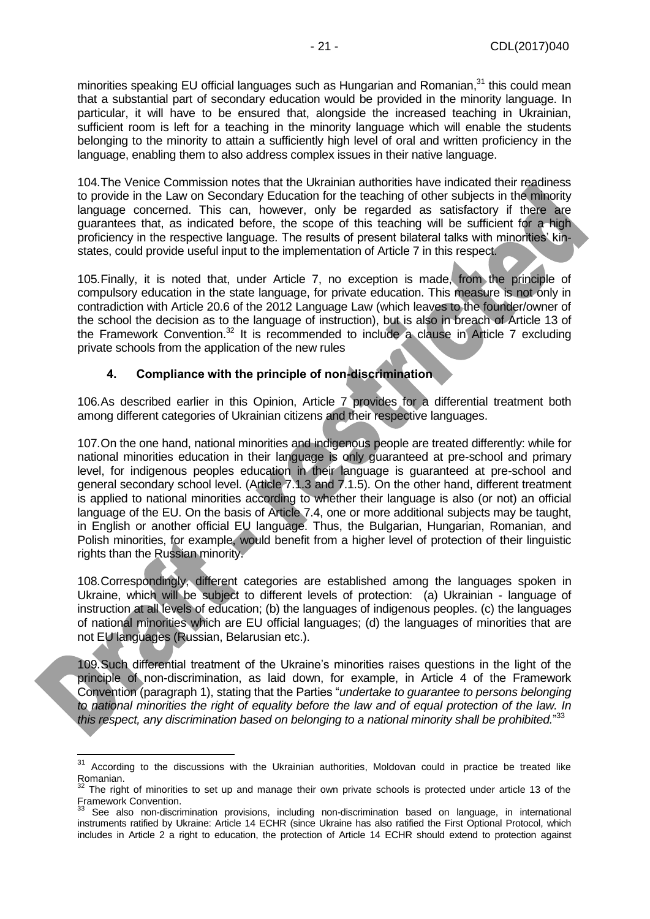minorities speaking EU official languages such as Hungarian and Romanian,<sup>31</sup> this could mean that a substantial part of secondary education would be provided in the minority language. In particular, it will have to be ensured that, alongside the increased teaching in Ukrainian, sufficient room is left for a teaching in the minority language which will enable the students belonging to the minority to attain a sufficiently high level of oral and written proficiency in the language, enabling them to also address complex issues in their native language.

104.The Venice Commission notes that the Ukrainian authorities have indicated their readiness to provide in the Law on Secondary Education for the teaching of other subjects in the minority language concerned. This can, however, only be regarded as satisfactory if there are guarantees that, as indicated before, the scope of this teaching will be sufficient for a high proficiency in the respective language. The results of present bilateral talks with minorities' kinstates, could provide useful input to the implementation of Article 7 in this respect.

105.Finally, it is noted that, under Article 7, no exception is made, from the principle of compulsory education in the state language, for private education. This measure is not only in contradiction with Article 20.6 of the 2012 Language Law (which leaves to the founder/owner of the school the decision as to the language of instruction), but is also in breach of Article 13 of the Framework Convention.<sup>32</sup> It is recommended to include a clause in Article 7 excluding private schools from the application of the new rules

### **4. Compliance with the principle of non-discrimination**

<span id="page-20-0"></span>106.As described earlier in this Opinion, Article 7 provides for a differential treatment both among different categories of Ukrainian citizens and their respective languages.

107.On the one hand, national minorities and indigenous people are treated differently: while for national minorities education in their language is only guaranteed at pre-school and primary level, for indigenous peoples education in their language is guaranteed at pre-school and general secondary school level. (Article 7.1.3 and 7.1.5). On the other hand, different treatment is applied to national minorities according to whether their language is also (or not) an official language of the EU. On the basis of Article 7.4, one or more additional subjects may be taught, in English or another official EU language. Thus, the Bulgarian, Hungarian, Romanian, and Polish minorities, for example, would benefit from a higher level of protection of their linguistic rights than the Russian minority.

108.Correspondingly, different categories are established among the languages spoken in Ukraine, which will be subject to different levels of protection: (a) Ukrainian - language of instruction at all levels of education; (b) the languages of indigenous peoples. (c) the languages of national minorities which are EU official languages; (d) the languages of minorities that are not EU languages (Russian, Belarusian etc.).

109.Such differential treatment of the Ukraine's minorities raises questions in the light of the principle of non-discrimination, as laid down, for example, in Article 4 of the Framework Convention (paragraph 1), stating that the Parties "*undertake to guarantee to persons belonging to national minorities the right of equality before the law and of equal protection of the law. In this respect, any discrimination based on belonging to a national minority shall be prohibited.*" 33

 $31$  According to the discussions with the Ukrainian authorities, Moldovan could in practice be treated like Romanian.

 $32$  The right of minorities to set up and manage their own private schools is protected under article 13 of the Framework Convention.

See also non-discrimination provisions, including non-discrimination based on language, in international instruments ratified by Ukraine: Article 14 ECHR (since Ukraine has also ratified the First Optional Protocol, which includes in Article 2 a right to education, the protection of Article 14 ECHR should extend to protection against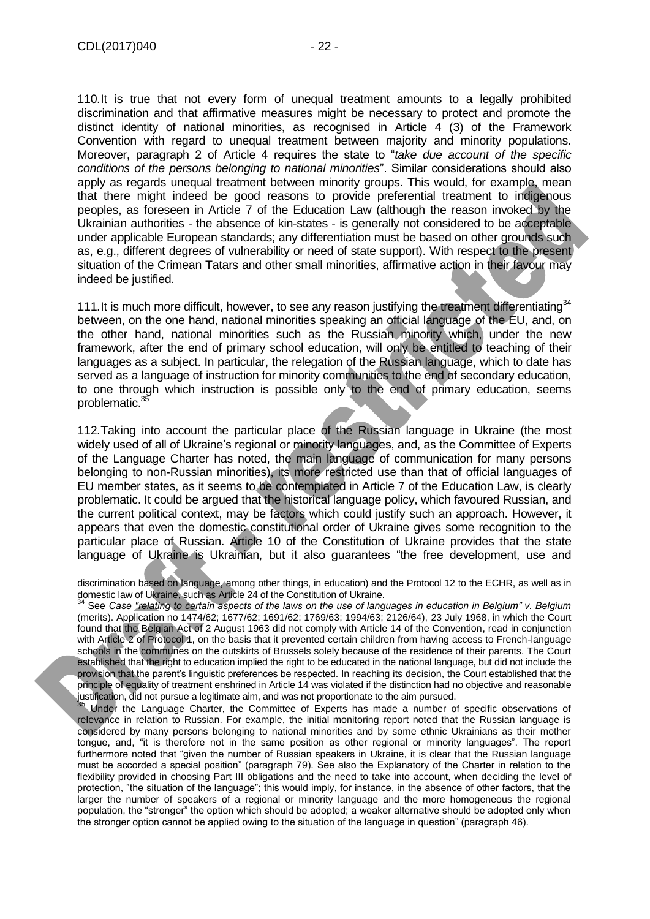110.It is true that not every form of unequal treatment amounts to a legally prohibited discrimination and that affirmative measures might be necessary to protect and promote the distinct identity of national minorities, as recognised in Article 4 (3) of the Framework Convention with regard to unequal treatment between majority and minority populations. Moreover, paragraph 2 of Article 4 requires the state to "*take due account of the specific conditions of the persons belonging to national minorities*". Similar considerations should also apply as regards unequal treatment between minority groups. This would, for example, mean that there might indeed be good reasons to provide preferential treatment to indigenous peoples, as foreseen in Article 7 of the Education Law (although the reason invoked by the Ukrainian authorities - the absence of kin-states - is generally not considered to be acceptable under applicable European standards; any differentiation must be based on other grounds such as, e.g., different degrees of vulnerability or need of state support). With respect to the present situation of the Crimean Tatars and other small minorities, affirmative action in their favour may indeed be justified.

111. It is much more difficult, however, to see any reason justifying the treatment differentiating<sup>34</sup> between, on the one hand, national minorities speaking an official language of the EU, and, on the other hand, national minorities such as the Russian minority which, under the new framework, after the end of primary school education, will only be entitled to teaching of their languages as a subject. In particular, the relegation of the Russian language, which to date has served as a language of instruction for minority communities to the end of secondary education, to one through which instruction is possible only to the end of primary education, seems problematic.<sup>3</sup>

112.Taking into account the particular place of the Russian language in Ukraine (the most widely used of all of Ukraine's regional or minority languages, and, as the Committee of Experts of the Language Charter has noted, the main language of communication for many persons belonging to non-Russian minorities), its more restricted use than that of official languages of EU member states, as it seems to be contemplated in Article 7 of the Education Law, is clearly problematic. It could be argued that the historical language policy, which favoured Russian, and the current political context, may be factors which could justify such an approach. However, it appears that even the domestic constitutional order of Ukraine gives some recognition to the particular place of Russian. Article 10 of the Constitution of Ukraine provides that the state language of Ukraine is Ukrainian, but it also guarantees "the free development, use and

<sup>35</sup> Under the Language Charter, the Committee of Experts has made a number of specific observations of relevance in relation to Russian. For example, the initial monitoring report noted that the Russian language is considered by many persons belonging to national minorities and by some ethnic Ukrainians as their mother tongue, and, "it is therefore not in the same position as other regional or minority languages". The report furthermore noted that "given the number of Russian speakers in Ukraine, it is clear that the Russian language must be accorded a special position" (paragraph 79). See also the Explanatory of the Charter in relation to the flexibility provided in choosing Part III obligations and the need to take into account, when deciding the level of protection, "the situation of the language"; this would imply, for instance, in the absence of other factors, that the larger the number of speakers of a regional or minority language and the more homogeneous the regional population, the "stronger" the option which should be adopted; a weaker alternative should be adopted only when the stronger option cannot be applied owing to the situation of the language in question" (paragraph 46).

discrimination based on language, among other things, in education) and the Protocol 12 to the ECHR, as well as in domestic law of Ukraine, such as Article 24 of the Constitution of Ukraine.

<sup>34</sup> See *Case "relating to certain aspects of the laws on the use of languages in education in Belgium" v. Belgium* (merits). Application no 1474/62; 1677/62; 1691/62; 1769/63; 1994/63; 2126/64), 23 July 1968, in which the Court found that the Belgian Act of 2 August 1963 did not comply with Article 14 of the Convention, read in conjunction with Article 2 of Protocol 1, on the basis that it prevented certain children from having access to French-language schools in the communes on the outskirts of Brussels solely because of the residence of their parents. The Court established that the right to education implied the right to be educated in the national language, but did not include the provision that the parent's linguistic preferences be respected. In reaching its decision, the Court established that the principle of equality of treatment enshrined in Article 14 was violated if the distinction had no objective and reasonable justification, did not pursue a legitimate aim, and was not proportionate to the aim pursued.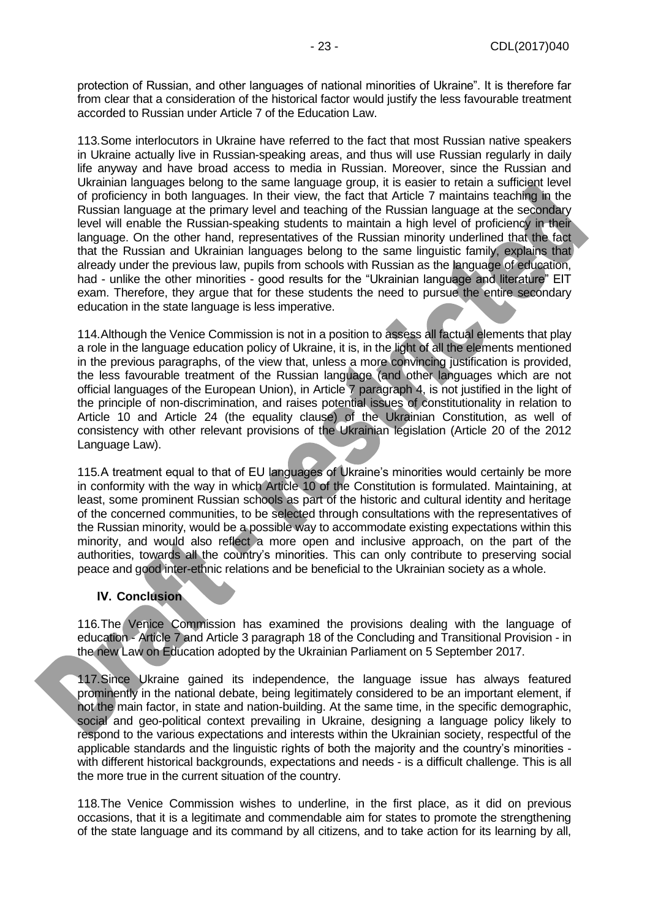protection of Russian, and other languages of national minorities of Ukraine". It is therefore far from clear that a consideration of the historical factor would justify the less favourable treatment accorded to Russian under Article 7 of the Education Law.

113.Some interlocutors in Ukraine have referred to the fact that most Russian native speakers in Ukraine actually live in Russian-speaking areas, and thus will use Russian regularly in daily life anyway and have broad access to media in Russian. Moreover, since the Russian and Ukrainian languages belong to the same language group, it is easier to retain a sufficient level of proficiency in both languages. In their view, the fact that Article 7 maintains teaching in the Russian language at the primary level and teaching of the Russian language at the secondary level will enable the Russian-speaking students to maintain a high level of proficiency in their language. On the other hand, representatives of the Russian minority underlined that the fact that the Russian and Ukrainian languages belong to the same linguistic family, explains that already under the previous law, pupils from schools with Russian as the language of education, had - unlike the other minorities - good results for the "Ukrainian language and literature" EIT exam. Therefore, they argue that for these students the need to pursue the entire secondary education in the state language is less imperative.

114.Although the Venice Commission is not in a position to assess all factual elements that play a role in the language education policy of Ukraine, it is, in the light of all the elements mentioned in the previous paragraphs, of the view that, unless a more convincing justification is provided, the less favourable treatment of the Russian language (and other languages which are not official languages of the European Union), in Article 7 paragraph 4, is not justified in the light of the principle of non-discrimination, and raises potential issues of constitutionality in relation to Article 10 and Article 24 (the equality clause) of the Ukrainian Constitution, as well of consistency with other relevant provisions of the Ukrainian legislation (Article 20 of the 2012 Language Law).

115.A treatment equal to that of EU languages of Ukraine's minorities would certainly be more in conformity with the way in which Article 10 of the Constitution is formulated. Maintaining, at least, some prominent Russian schools as part of the historic and cultural identity and heritage of the concerned communities, to be selected through consultations with the representatives of the Russian minority, would be a possible way to accommodate existing expectations within this minority, and would also reflect a more open and inclusive approach, on the part of the authorities, towards all the country's minorities. This can only contribute to preserving social peace and good inter-ethnic relations and be beneficial to the Ukrainian society as a whole.

#### <span id="page-22-0"></span>**IV. Conclusion**

116.The Venice Commission has examined the provisions dealing with the language of education - Article 7 and Article 3 paragraph 18 of the Concluding and Transitional Provision - in the new Law on Education adopted by the Ukrainian Parliament on 5 September 2017.

117.Since Ukraine gained its independence, the language issue has always featured prominently in the national debate, being legitimately considered to be an important element, if not the main factor, in state and nation-building. At the same time, in the specific demographic, social and geo-political context prevailing in Ukraine, designing a language policy likely to respond to the various expectations and interests within the Ukrainian society, respectful of the applicable standards and the linguistic rights of both the majority and the country's minorities with different historical backgrounds, expectations and needs - is a difficult challenge. This is all the more true in the current situation of the country.

118.The Venice Commission wishes to underline, in the first place, as it did on previous occasions, that it is a legitimate and commendable aim for states to promote the strengthening of the state language and its command by all citizens, and to take action for its learning by all,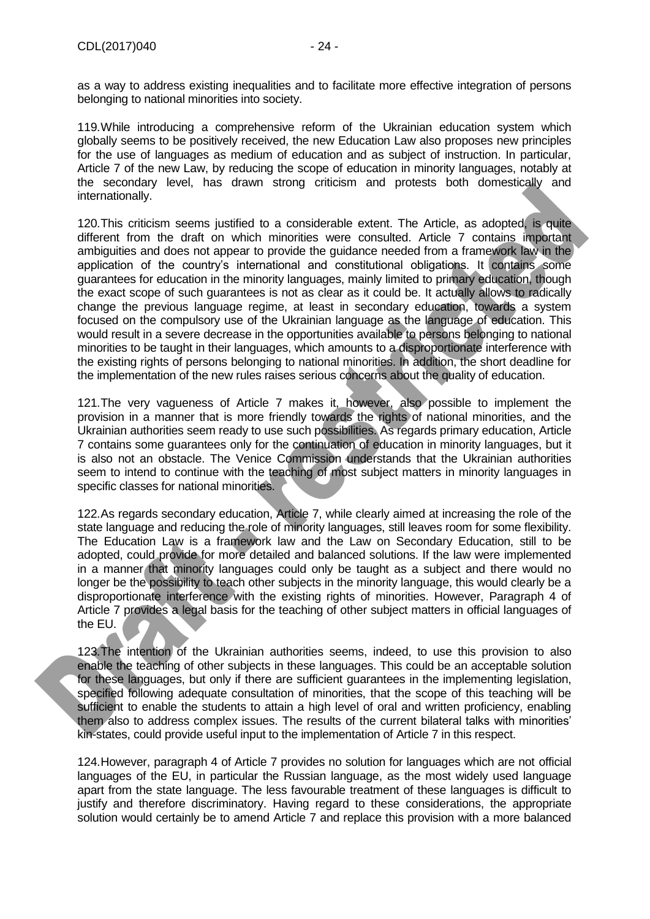as a way to address existing inequalities and to facilitate more effective integration of persons belonging to national minorities into society.

119.While introducing a comprehensive reform of the Ukrainian education system which globally seems to be positively received, the new Education Law also proposes new principles for the use of languages as medium of education and as subject of instruction. In particular, Article 7 of the new Law, by reducing the scope of education in minority languages, notably at the secondary level, has drawn strong criticism and protests both domestically and internationally.

120. This criticism seems justified to a considerable extent. The Article, as adopted, is quite different from the draft on which minorities were consulted. Article 7 contains important ambiguities and does not appear to provide the guidance needed from a framework law in the application of the country's international and constitutional obligations. It contains some guarantees for education in the minority languages, mainly limited to primary education, though the exact scope of such guarantees is not as clear as it could be. It actually allows to radically change the previous language regime, at least in secondary education, towards a system focused on the compulsory use of the Ukrainian language as the language of education. This would result in a severe decrease in the opportunities available to persons belonging to national minorities to be taught in their languages, which amounts to a disproportionate interference with the existing rights of persons belonging to national minorities. In addition, the short deadline for the implementation of the new rules raises serious concerns about the quality of education.

121.The very vagueness of Article 7 makes it, however, also possible to implement the provision in a manner that is more friendly towards the rights of national minorities, and the Ukrainian authorities seem ready to use such possibilities. As regards primary education, Article 7 contains some guarantees only for the continuation of education in minority languages, but it is also not an obstacle. The Venice Commission understands that the Ukrainian authorities seem to intend to continue with the teaching of most subject matters in minority languages in specific classes for national minorities.

122.As regards secondary education, Article 7, while clearly aimed at increasing the role of the state language and reducing the role of minority languages, still leaves room for some flexibility. The Education Law is a framework law and the Law on Secondary Education, still to be adopted, could provide for more detailed and balanced solutions. If the law were implemented in a manner that minority languages could only be taught as a subject and there would no longer be the possibility to teach other subjects in the minority language, this would clearly be a disproportionate interference with the existing rights of minorities. However, Paragraph 4 of Article 7 provides a legal basis for the teaching of other subject matters in official languages of the EU.

123.The intention of the Ukrainian authorities seems, indeed, to use this provision to also enable the teaching of other subjects in these languages. This could be an acceptable solution for these languages, but only if there are sufficient guarantees in the implementing legislation, specified following adequate consultation of minorities, that the scope of this teaching will be sufficient to enable the students to attain a high level of oral and written proficiency, enabling them also to address complex issues. The results of the current bilateral talks with minorities' kin-states, could provide useful input to the implementation of Article 7 in this respect.

124.However, paragraph 4 of Article 7 provides no solution for languages which are not official languages of the EU, in particular the Russian language, as the most widely used language apart from the state language. The less favourable treatment of these languages is difficult to justify and therefore discriminatory. Having regard to these considerations, the appropriate solution would certainly be to amend Article 7 and replace this provision with a more balanced